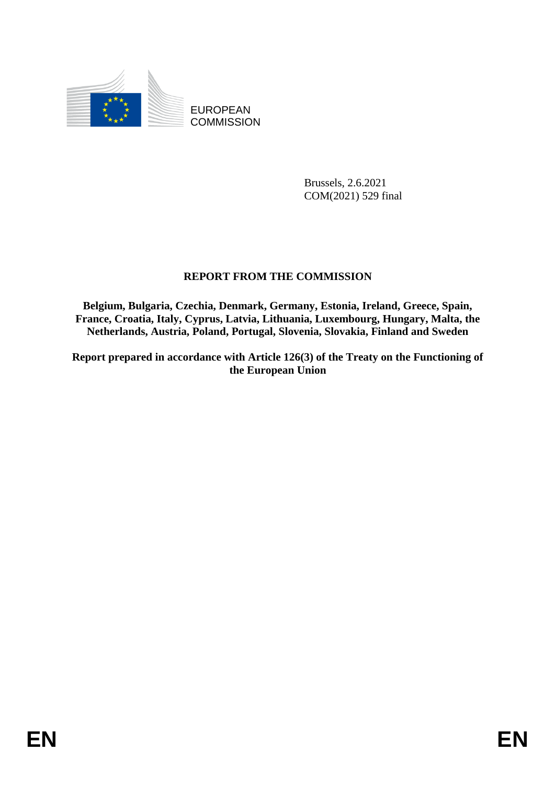

EUROPEAN **COMMISSION** 

> Brussels, 2.6.2021 COM(2021) 529 final

# **REPORT FROM THE COMMISSION**

**Belgium, Bulgaria, Czechia, Denmark, Germany, Estonia, Ireland, Greece, Spain, France, Croatia, Italy, Cyprus, Latvia, Lithuania, Luxembourg, Hungary, Malta, the Netherlands, Austria, Poland, Portugal, Slovenia, Slovakia, Finland and Sweden** 

**Report prepared in accordance with Article 126(3) of the Treaty on the Functioning of the European Union**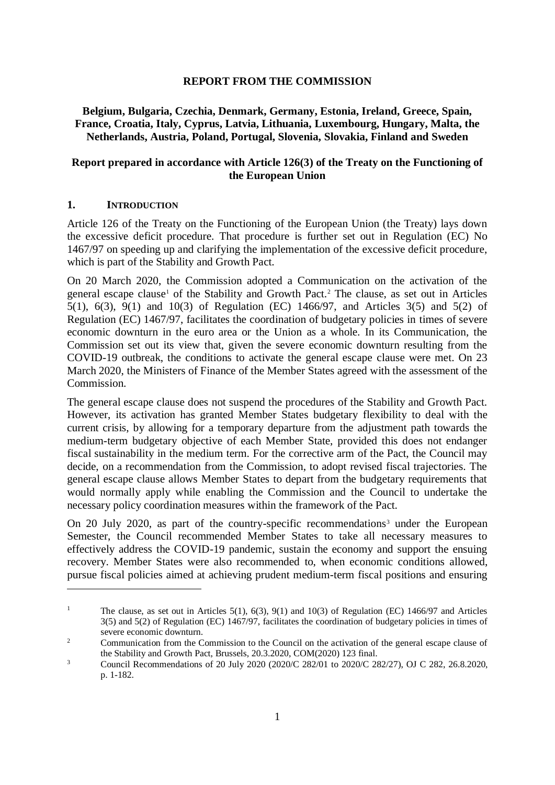### **REPORT FROM THE COMMISSION**

**Belgium, Bulgaria, Czechia, Denmark, Germany, Estonia, Ireland, Greece, Spain, France, Croatia, Italy, Cyprus, Latvia, Lithuania, Luxembourg, Hungary, Malta, the Netherlands, Austria, Poland, Portugal, Slovenia, Slovakia, Finland and Sweden** 

## **Report prepared in accordance with Article 126(3) of the Treaty on the Functioning of the European Union**

### **1. INTRODUCTION**

1

Article 126 of the Treaty on the Functioning of the European Union (the Treaty) lays down the excessive deficit procedure. That procedure is further set out in Regulation (EC) No 1467/97 on speeding up and clarifying the implementation of the excessive deficit procedure, which is part of the Stability and Growth Pact.

On 20 March 2020, the Commission adopted a Communication on the activation of the general escape clause<sup>1</sup> of the Stability and Growth Pact.<sup>2</sup> The clause, as set out in Articles 5(1), 6(3), 9(1) and 10(3) of Regulation (EC) 1466/97, and Articles 3(5) and 5(2) of Regulation (EC) 1467/97, facilitates the coordination of budgetary policies in times of severe economic downturn in the euro area or the Union as a whole. In its Communication, the Commission set out its view that, given the severe economic downturn resulting from the COVID-19 outbreak, the conditions to activate the general escape clause were met. On 23 March 2020, the Ministers of Finance of the Member States agreed with the assessment of the Commission.

The general escape clause does not suspend the procedures of the Stability and Growth Pact. However, its activation has granted Member States budgetary flexibility to deal with the current crisis, by allowing for a temporary departure from the adjustment path towards the medium-term budgetary objective of each Member State, provided this does not endanger fiscal sustainability in the medium term. For the corrective arm of the Pact, the Council may decide, on a recommendation from the Commission, to adopt revised fiscal trajectories. The general escape clause allows Member States to depart from the budgetary requirements that would normally apply while enabling the Commission and the Council to undertake the necessary policy coordination measures within the framework of the Pact.

On 20 July 2020, as part of the country-specific recommendations<sup>3</sup> under the European Semester, the Council recommended Member States to take all necessary measures to effectively address the COVID-19 pandemic, sustain the economy and support the ensuing recovery. Member States were also recommended to, when economic conditions allowed, pursue fiscal policies aimed at achieving prudent medium-term fiscal positions and ensuring

<sup>&</sup>lt;sup>1</sup> The clause, as set out in Articles 5(1), 6(3), 9(1) and 10(3) of Regulation (EC) 1466/97 and Articles 3(5) and 5(2) of Regulation (EC) 1467/97, facilitates the coordination of budgetary policies in times of severe economic downturn.

<sup>&</sup>lt;sup>2</sup> Communication from the Commission to the Council on the activation of the general escape clause of the Stability and Growth Pact, Brussels, 20.3.2020, COM(2020) 123 final.

<sup>&</sup>lt;sup>3</sup> Council Recommendations of [20 July 2020](https://eur-lex.europa.eu/legal-content/EN/AUTO/?uri=uriserv:OJ.C_.2020.282.01.0157.01.ENG&toc=OJ:C:2020:282:TOC) (2020/C 282/01 to 2020/C 282/27), OJ C 282, 26.8.2020, p. 1-182.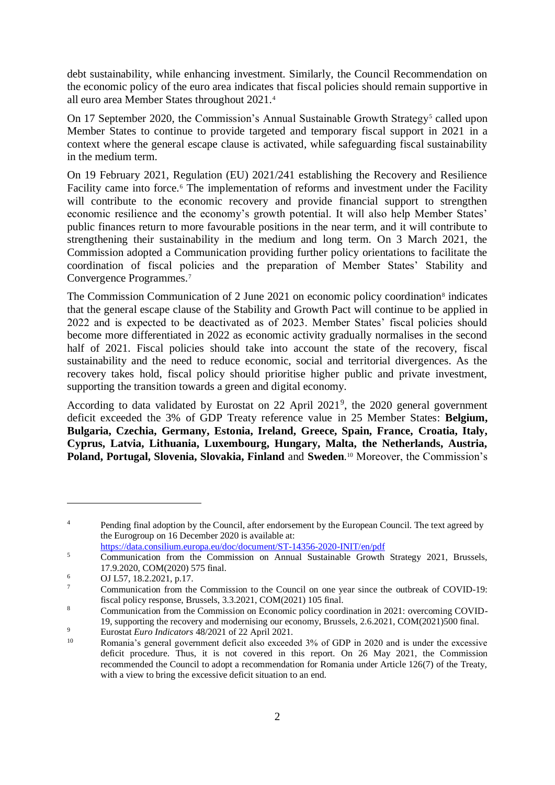debt sustainability, while enhancing investment. Similarly, the Council Recommendation on the economic policy of the euro area indicates that fiscal policies should remain supportive in all euro area Member States throughout 2021.<sup>4</sup>

On 17 September 2020, the Commission's Annual Sustainable Growth Strategy<sup>5</sup> called upon Member States to continue to provide targeted and temporary fiscal support in 2021 in a context where the general escape clause is activated, while safeguarding fiscal sustainability in the medium term.

On 19 February 2021, Regulation (EU) 2021/241 establishing the Recovery and Resilience Facility came into force.<sup>6</sup> The implementation of reforms and investment under the Facility will contribute to the economic recovery and provide financial support to strengthen economic resilience and the economy's growth potential. It will also help Member States' public finances return to more favourable positions in the near term, and it will contribute to strengthening their sustainability in the medium and long term. On 3 March 2021, the Commission adopted a Communication providing further policy orientations to facilitate the coordination of fiscal policies and the preparation of Member States' Stability and Convergence Programmes.<sup>7</sup>

The Commission Communication of 2 June 2021 on economic policy coordination<sup>8</sup> indicates that the general escape clause of the Stability and Growth Pact will continue to be applied in 2022 and is expected to be deactivated as of 2023. Member States' fiscal policies should become more differentiated in 2022 as economic activity gradually normalises in the second half of 2021. Fiscal policies should take into account the state of the recovery, fiscal sustainability and the need to reduce economic, social and territorial divergences. As the recovery takes hold, fiscal policy should prioritise higher public and private investment, supporting the transition towards a green and digital economy.

According to data validated by Eurostat on 22 April 2021<sup>9</sup>, the 2020 general government deficit exceeded the 3% of GDP Treaty reference value in 25 Member States: **Belgium, Bulgaria, Czechia, Germany, Estonia, Ireland, Greece, Spain, France, Croatia, Italy, Cyprus, Latvia, Lithuania, Luxembourg, Hungary, Malta, the Netherlands, Austria, Poland, Portugal, Slovenia, Slovakia, Finland** and **Sweden**. <sup>10</sup> Moreover, the Commission's

<https://data.consilium.europa.eu/doc/document/ST-14356-2020-INIT/en/pdf>

1

<sup>&</sup>lt;sup>4</sup> Pending final adoption by the Council, after endorsement by the European Council. The text agreed by the Eurogroup on 16 December 2020 is available at:

<sup>&</sup>lt;sup>5</sup> Communication from the Commission on Annual Sustainable Growth Strategy 2021, Brussels, 17.9.2020, COM(2020) 575 final.

 $6 \t\t\t\t 0J L57, 18.2.2021, p.17.$ 

<sup>7</sup> Communication from the Commission to the Council on one year since the outbreak of COVID-19: fiscal policy response, Brussels, 3.3.2021, COM(2021) 105 final.

<sup>&</sup>lt;sup>8</sup> Communication from the Commission on Economic policy coordination in 2021: overcoming COVID-19, supporting the recovery and modernising our economy, Brussels, 2.6.2021, COM(2021)500 final.

<sup>9</sup> Eurostat *Euro Indicators* 48/2021 of 22 April 2021.

Romania's general government deficit also exceeded 3% of GDP in 2020 and is under the excessive deficit procedure. Thus, it is not covered in this report. On 26 May 2021, the Commission recommended the Council to adopt a recommendation for Romania under Article 126(7) of the Treaty, with a view to bring the excessive deficit situation to an end.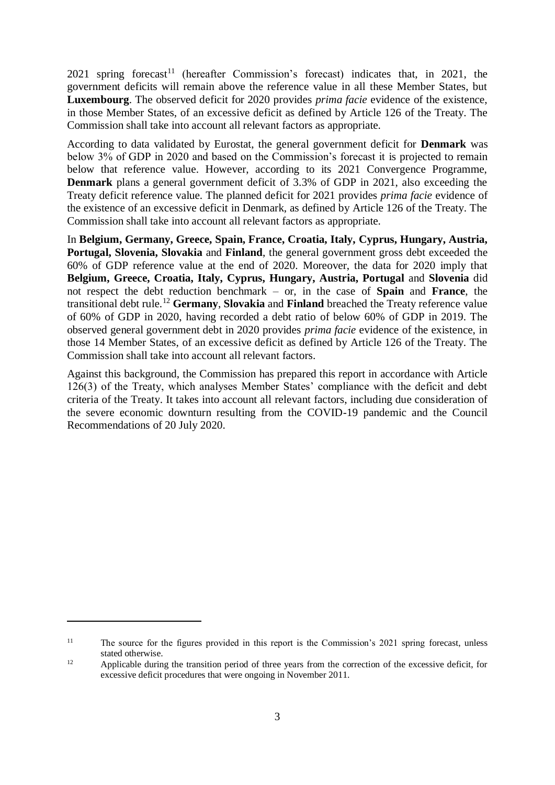$2021$  spring forecast<sup>11</sup> (hereafter Commission's forecast) indicates that, in 2021, the government deficits will remain above the reference value in all these Member States, but **Luxembourg**. The observed deficit for 2020 provides *prima facie* evidence of the existence, in those Member States, of an excessive deficit as defined by Article 126 of the Treaty. The Commission shall take into account all relevant factors as appropriate.

According to data validated by Eurostat, the general government deficit for **Denmark** was below 3% of GDP in 2020 and based on the Commission's forecast it is projected to remain below that reference value. However, according to its 2021 Convergence Programme, **Denmark** plans a general government deficit of 3.3% of GDP in 2021, also exceeding the Treaty deficit reference value. The planned deficit for 2021 provides *prima facie* evidence of the existence of an excessive deficit in Denmark, as defined by Article 126 of the Treaty. The Commission shall take into account all relevant factors as appropriate.

In **Belgium, Germany, Greece, Spain, France, Croatia, Italy, Cyprus, Hungary, Austria, Portugal, Slovenia, Slovakia** and **Finland**, the general government gross debt exceeded the 60% of GDP reference value at the end of 2020. Moreover, the data for 2020 imply that **Belgium, Greece, Croatia, Italy, Cyprus, Hungary, Austria, Portugal** and **Slovenia** did not respect the debt reduction benchmark – or, in the case of **Spain** and **France**, the transitional debt rule.<sup>12</sup> **Germany**, **Slovakia** and **Finland** breached the Treaty reference value of 60% of GDP in 2020, having recorded a debt ratio of below 60% of GDP in 2019. The observed general government debt in 2020 provides *prima facie* evidence of the existence, in those 14 Member States, of an excessive deficit as defined by Article 126 of the Treaty. The Commission shall take into account all relevant factors.

Against this background, the Commission has prepared this report in accordance with Article 126(3) of the Treaty, which analyses Member States' compliance with the deficit and debt criteria of the Treaty. It takes into account all relevant factors, including due consideration of the severe economic downturn resulting from the COVID-19 pandemic and the Council Recommendations of 20 July 2020.

1

<sup>&</sup>lt;sup>11</sup> The source for the figures provided in this report is the Commission's 2021 spring forecast, unless stated otherwise.

<sup>&</sup>lt;sup>12</sup> Applicable during the transition period of three years from the correction of the excessive deficit, for excessive deficit procedures that were ongoing in November 2011.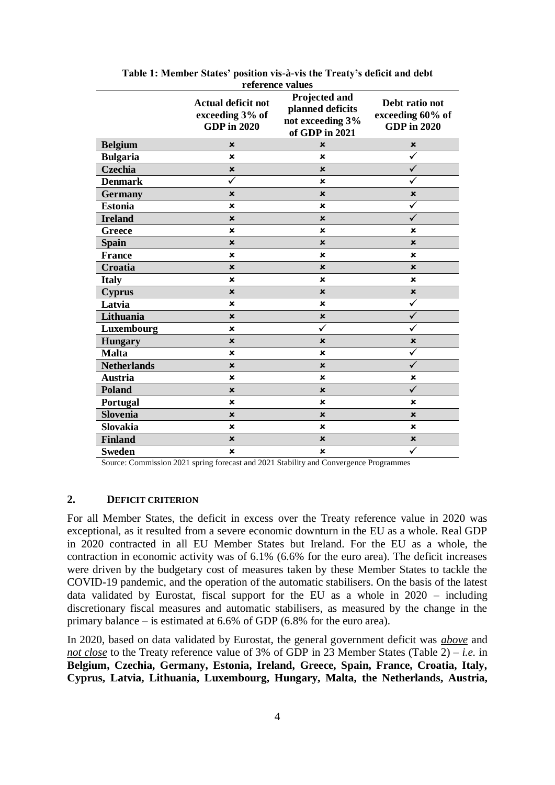|                    |                           | Teres ence Turned<br>Projected and |                         |
|--------------------|---------------------------|------------------------------------|-------------------------|
|                    | <b>Actual deficit not</b> | planned deficits                   | Debt ratio not          |
|                    | exceeding 3% of           | not exceeding 3%                   | exceeding 60% of        |
|                    | <b>GDP</b> in 2020        | of GDP in 2021                     | <b>GDP</b> in 2020      |
| <b>Belgium</b>     | ×                         | $\pmb{\times}$                     | $\pmb{\times}$          |
| <b>Bulgaria</b>    | $\boldsymbol{\mathsf{x}}$ | $\pmb{\times}$                     | $\overline{\checkmark}$ |
| Czechia            | $\boldsymbol{\mathsf{x}}$ | $\boldsymbol{\mathsf{x}}$          | $\checkmark$            |
| <b>Denmark</b>     | ✓                         | ×                                  | ✓                       |
| <b>Germany</b>     | ×                         | $\pmb{\times}$                     | $\pmb{\times}$          |
| <b>Estonia</b>     | $\boldsymbol{\mathsf{x}}$ | ×                                  | $\checkmark$            |
| <b>Ireland</b>     | $\boldsymbol{\mathsf{x}}$ | $\pmb{\times}$                     | $\checkmark$            |
| Greece             | ×                         | ×                                  | ×                       |
| <b>Spain</b>       | $\pmb{\times}$            | $\pmb{\times}$                     | ×                       |
| <b>France</b>      | $\boldsymbol{\mathsf{x}}$ | ×                                  | ×                       |
| Croatia            | $\boldsymbol{\mathsf{x}}$ | $\pmb{\times}$                     | ×                       |
| <b>Italy</b>       | ×                         | ×                                  | ×                       |
| <b>Cyprus</b>      | $\boldsymbol{\mathsf{x}}$ | $\pmb{\times}$                     | $\pmb{\times}$          |
| Latvia             | ×                         | ×                                  | $\checkmark$            |
| Lithuania          | $\pmb{\times}$            | $\pmb{\times}$                     | $\checkmark$            |
| Luxembourg         | $\boldsymbol{\mathsf{x}}$ | ✓                                  | $\checkmark$            |
| <b>Hungary</b>     | $\pmb{\times}$            | $\boldsymbol{\mathsf{x}}$          | $\pmb{\times}$          |
| <b>Malta</b>       | ×                         | ×                                  | ✓                       |
| <b>Netherlands</b> | $\boldsymbol{\mathsf{x}}$ | $\pmb{\times}$                     | $\overline{\checkmark}$ |
| <b>Austria</b>     | ×                         | $\pmb{\times}$                     | $\pmb{\times}$          |
| Poland             | $\pmb{\times}$            | $\pmb{\times}$                     |                         |
| Portugal           | $\boldsymbol{\mathsf{x}}$ | ×                                  | ×                       |
| <b>Slovenia</b>    | $\pmb{\times}$            | ×                                  | $\pmb{\times}$          |
| Slovakia           | $\boldsymbol{\mathsf{x}}$ | $\pmb{\times}$                     | ×                       |
| <b>Finland</b>     | $\pmb{\times}$            | ×                                  | $\pmb{\times}$          |
| <b>Sweden</b>      | ×                         | $\pmb{\times}$                     | ✓                       |

**Table 1: Member States' position vis-à-vis the Treaty's deficit and debt reference values**

Source: Commission 2021 spring forecast and 2021 Stability and Convergence Programmes

### **2. DEFICIT CRITERION**

For all Member States, the deficit in excess over the Treaty reference value in 2020 was exceptional, as it resulted from a severe economic downturn in the EU as a whole. Real GDP in 2020 contracted in all EU Member States but Ireland. For the EU as a whole, the contraction in economic activity was of 6.1% (6.6% for the euro area). The deficit increases were driven by the budgetary cost of measures taken by these Member States to tackle the COVID-19 pandemic, and the operation of the automatic stabilisers. On the basis of the latest data validated by Eurostat, fiscal support for the EU as a whole in 2020 – including discretionary fiscal measures and automatic stabilisers, as measured by the change in the primary balance – is estimated at 6.6% of GDP (6.8% for the euro area).

In 2020, based on data validated by Eurostat, the general government deficit was *above* and *not close* to the Treaty reference value of 3% of GDP in 23 Member States (Table 2) – *i.e.* in **Belgium, Czechia, Germany, Estonia, Ireland, Greece, Spain, France, Croatia, Italy, Cyprus, Latvia, Lithuania, Luxembourg, Hungary, Malta, the Netherlands, Austria,**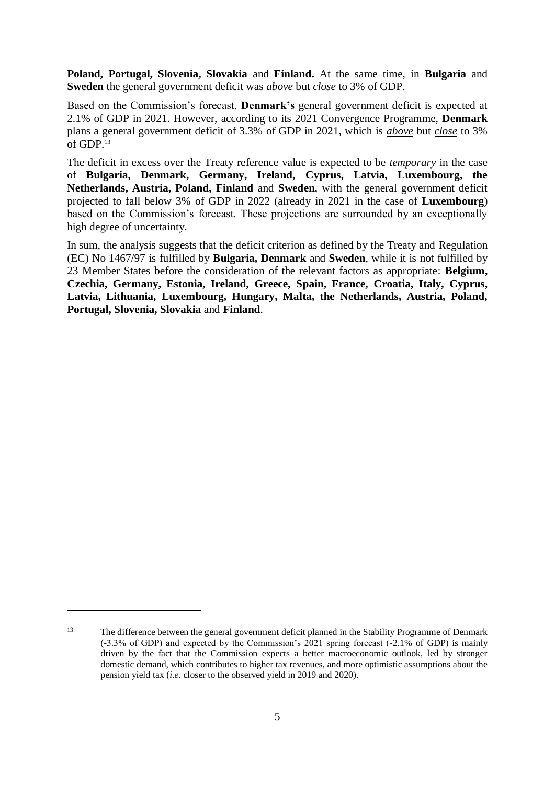**Poland, Portugal, Slovenia, Slovakia** and **Finland.** At the same time, in **Bulgaria** and **Sweden** the general government deficit was *above* but *close* to 3% of GDP.

Based on the Commission's forecast, **Denmark's** general government deficit is expected at 2.1% of GDP in 2021. However, according to its 2021 Convergence Programme, **Denmark** plans a general government deficit of 3.3% of GDP in 2021, which is *above* but *close* to 3% of GDP.<sup>13</sup>

The deficit in excess over the Treaty reference value is expected to be *temporary* in the case of **Bulgaria, Denmark, Germany, Ireland, Cyprus, Latvia, Luxembourg, the Netherlands, Austria, Poland, Finland** and **Sweden**, with the general government deficit projected to fall below 3% of GDP in 2022 (already in 2021 in the case of **Luxembourg**) based on the Commission's forecast. These projections are surrounded by an exceptionally high degree of uncertainty.

In sum, the analysis suggests that the deficit criterion as defined by the Treaty and Regulation (EC) No 1467/97 is fulfilled by **Bulgaria, Denmark** and **Sweden**, while it is not fulfilled by 23 Member States before the consideration of the relevant factors as appropriate: **Belgium, Czechia, Germany, Estonia, Ireland, Greece, Spain, France, Croatia, Italy, Cyprus, Latvia, Lithuania, Luxembourg, Hungary, Malta, the Netherlands, Austria, Poland, Portugal, Slovenia, Slovakia** and **Finland**.

1

<sup>&</sup>lt;sup>13</sup> The difference between the general government deficit planned in the Stability Programme of Denmark (-3.3% of GDP) and expected by the Commission's 2021 spring forecast (-2.1% of GDP) is mainly driven by the fact that the Commission expects a better macroeconomic outlook, led by stronger domestic demand, which contributes to higher tax revenues, and more optimistic assumptions about the pension yield tax (*i.e.* closer to the observed yield in 2019 and 2020).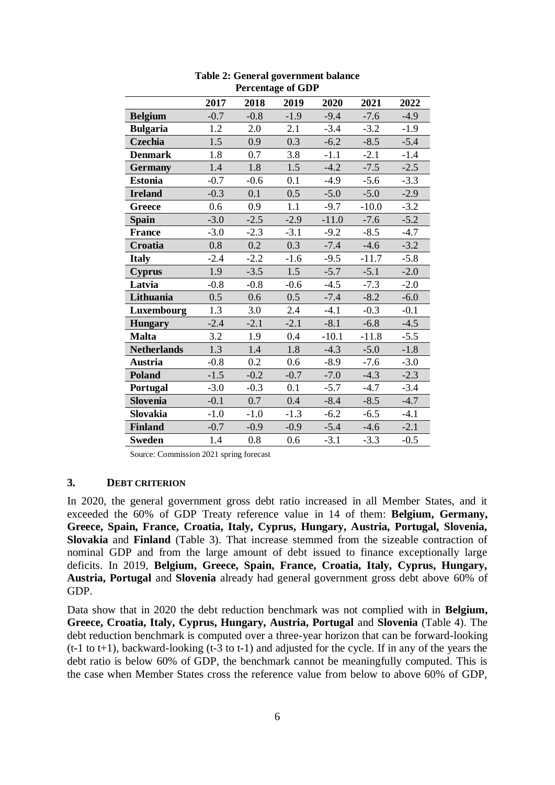|                    | 2017   | 2018   | 2019   | 2020    | 2021    | 2022   |
|--------------------|--------|--------|--------|---------|---------|--------|
| <b>Belgium</b>     | $-0.7$ | $-0.8$ | $-1.9$ | $-9.4$  | $-7.6$  | $-4.9$ |
| <b>Bulgaria</b>    | 1.2    | 2.0    | 2.1    | $-3.4$  | $-3.2$  | $-1.9$ |
| Czechia            | 1.5    | 0.9    | 0.3    | $-6.2$  | $-8.5$  | $-5.4$ |
| <b>Denmark</b>     | 1.8    | 0.7    | 3.8    | $-1.1$  | $-2.1$  | $-1.4$ |
| <b>Germany</b>     | 1.4    | 1.8    | 1.5    | $-4.2$  | $-7.5$  | $-2.5$ |
| <b>Estonia</b>     | $-0.7$ | $-0.6$ | 0.1    | $-4.9$  | $-5.6$  | $-3.3$ |
| <b>Ireland</b>     | $-0.3$ | 0.1    | 0.5    | $-5.0$  | $-5.0$  | $-2.9$ |
| Greece             | 0.6    | 0.9    | 1.1    | $-9.7$  | $-10.0$ | $-3.2$ |
| <b>Spain</b>       | $-3.0$ | $-2.5$ | $-2.9$ | $-11.0$ | $-7.6$  | $-5.2$ |
| <b>France</b>      | $-3.0$ | $-2.3$ | $-3.1$ | $-9.2$  | $-8.5$  | $-4.7$ |
| Croatia            | 0.8    | 0.2    | 0.3    | $-7.4$  | $-4.6$  | $-3.2$ |
| <b>Italy</b>       | $-2.4$ | $-2.2$ | $-1.6$ | $-9.5$  | $-11.7$ | $-5.8$ |
| <b>Cyprus</b>      | 1.9    | $-3.5$ | 1.5    | $-5.7$  | $-5.1$  | $-2.0$ |
| Latvia             | $-0.8$ | $-0.8$ | $-0.6$ | $-4.5$  | $-7.3$  | $-2.0$ |
| Lithuania          | 0.5    | 0.6    | 0.5    | $-7.4$  | $-8.2$  | $-6.0$ |
| Luxembourg         | 1.3    | 3.0    | 2.4    | $-4.1$  | $-0.3$  | $-0.1$ |
| <b>Hungary</b>     | $-2.4$ | $-2.1$ | $-2.1$ | $-8.1$  | $-6.8$  | $-4.5$ |
| <b>Malta</b>       | 3.2    | 1.9    | 0.4    | $-10.1$ | $-11.8$ | $-5.5$ |
| <b>Netherlands</b> | 1.3    | 1.4    | 1.8    | $-4.3$  | $-5.0$  | $-1.8$ |
| <b>Austria</b>     | $-0.8$ | 0.2    | 0.6    | $-8.9$  | $-7.6$  | $-3.0$ |
| <b>Poland</b>      | $-1.5$ | $-0.2$ | $-0.7$ | $-7.0$  | $-4.3$  | $-2.3$ |
| Portugal           | $-3.0$ | $-0.3$ | 0.1    | $-5.7$  | $-4.7$  | $-3.4$ |
| <b>Slovenia</b>    | $-0.1$ | 0.7    | 0.4    | $-8.4$  | $-8.5$  | $-4.7$ |
| Slovakia           | $-1.0$ | $-1.0$ | $-1.3$ | $-6.2$  | $-6.5$  | $-4.1$ |
| <b>Finland</b>     | $-0.7$ | $-0.9$ | $-0.9$ | $-5.4$  | $-4.6$  | $-2.1$ |
| <b>Sweden</b>      | 1.4    | 0.8    | 0.6    | $-3.1$  | $-3.3$  | $-0.5$ |

**Table 2: General government balance Percentage of GDP**

Source: Commission 2021 spring forecast

### **3. DEBT CRITERION**

In 2020, the general government gross debt ratio increased in all Member States, and it exceeded the 60% of GDP Treaty reference value in 14 of them: **Belgium, Germany, Greece, Spain, France, Croatia, Italy, Cyprus, Hungary, Austria, Portugal, Slovenia, Slovakia** and **Finland** (Table 3). That increase stemmed from the sizeable contraction of nominal GDP and from the large amount of debt issued to finance exceptionally large deficits. In 2019, **Belgium, Greece, Spain, France, Croatia, Italy, Cyprus, Hungary, Austria, Portugal** and **Slovenia** already had general government gross debt above 60% of GDP.

Data show that in 2020 the debt reduction benchmark was not complied with in **Belgium, Greece, Croatia, Italy, Cyprus, Hungary, Austria, Portugal** and **Slovenia** (Table 4). The debt reduction benchmark is computed over a three-year horizon that can be forward-looking (t-1 to t+1), backward-looking (t-3 to t-1) and adjusted for the cycle. If in any of the years the debt ratio is below 60% of GDP, the benchmark cannot be meaningfully computed. This is the case when Member States cross the reference value from below to above 60% of GDP,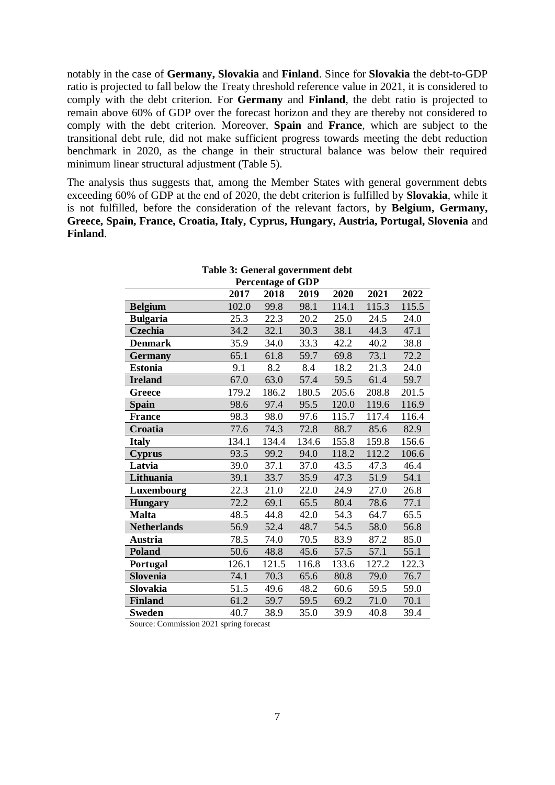notably in the case of **Germany, Slovakia** and **Finland**. Since for **Slovakia** the debt-to-GDP ratio is projected to fall below the Treaty threshold reference value in 2021, it is considered to comply with the debt criterion. For **Germany** and **Finland**, the debt ratio is projected to remain above 60% of GDP over the forecast horizon and they are thereby not considered to comply with the debt criterion. Moreover, **Spain** and **France**, which are subject to the transitional debt rule, did not make sufficient progress towards meeting the debt reduction benchmark in 2020, as the change in their structural balance was below their required minimum linear structural adjustment (Table 5).

The analysis thus suggests that, among the Member States with general government debts exceeding 60% of GDP at the end of 2020, the debt criterion is fulfilled by **Slovakia**, while it is not fulfilled, before the consideration of the relevant factors, by **Belgium, Germany, Greece, Spain, France, Croatia, Italy, Cyprus, Hungary, Austria, Portugal, Slovenia** and **Finland**.

|                    |       | <b>Percentage of GDP</b> |       |       |       |       |
|--------------------|-------|--------------------------|-------|-------|-------|-------|
|                    | 2017  | 2018                     | 2019  | 2020  | 2021  | 2022  |
| <b>Belgium</b>     | 102.0 | 99.8                     | 98.1  | 114.1 | 115.3 | 115.5 |
| <b>Bulgaria</b>    | 25.3  | 22.3                     | 20.2  | 25.0  | 24.5  | 24.0  |
| Czechia            | 34.2  | 32.1                     | 30.3  | 38.1  | 44.3  | 47.1  |
| <b>Denmark</b>     | 35.9  | 34.0                     | 33.3  | 42.2  | 40.2  | 38.8  |
| <b>Germany</b>     | 65.1  | 61.8                     | 59.7  | 69.8  | 73.1  | 72.2  |
| <b>Estonia</b>     | 9.1   | 8.2                      | 8.4   | 18.2  | 21.3  | 24.0  |
| <b>Ireland</b>     | 67.0  | 63.0                     | 57.4  | 59.5  | 61.4  | 59.7  |
| Greece             | 179.2 | 186.2                    | 180.5 | 205.6 | 208.8 | 201.5 |
| <b>Spain</b>       | 98.6  | 97.4                     | 95.5  | 120.0 | 119.6 | 116.9 |
| <b>France</b>      | 98.3  | 98.0                     | 97.6  | 115.7 | 117.4 | 116.4 |
| Croatia            | 77.6  | 74.3                     | 72.8  | 88.7  | 85.6  | 82.9  |
| <b>Italy</b>       | 134.1 | 134.4                    | 134.6 | 155.8 | 159.8 | 156.6 |
| <b>Cyprus</b>      | 93.5  | 99.2                     | 94.0  | 118.2 | 112.2 | 106.6 |
| Latvia             | 39.0  | 37.1                     | 37.0  | 43.5  | 47.3  | 46.4  |
| Lithuania          | 39.1  | 33.7                     | 35.9  | 47.3  | 51.9  | 54.1  |
| Luxembourg         | 22.3  | $21.0\,$                 | 22.0  | 24.9  | 27.0  | 26.8  |
| <b>Hungary</b>     | 72.2  | 69.1                     | 65.5  | 80.4  | 78.6  | 77.1  |
| <b>Malta</b>       | 48.5  | 44.8                     | 42.0  | 54.3  | 64.7  | 65.5  |
| <b>Netherlands</b> | 56.9  | 52.4                     | 48.7  | 54.5  | 58.0  | 56.8  |
| <b>Austria</b>     | 78.5  | 74.0                     | 70.5  | 83.9  | 87.2  | 85.0  |
| <b>Poland</b>      | 50.6  | 48.8                     | 45.6  | 57.5  | 57.1  | 55.1  |
| Portugal           | 126.1 | 121.5                    | 116.8 | 133.6 | 127.2 | 122.3 |
| Slovenia           | 74.1  | 70.3                     | 65.6  | 80.8  | 79.0  | 76.7  |
| Slovakia           | 51.5  | 49.6                     | 48.2  | 60.6  | 59.5  | 59.0  |
| <b>Finland</b>     | 61.2  | 59.7                     | 59.5  | 69.2  | 71.0  | 70.1  |
| <b>Sweden</b>      | 40.7  | 38.9                     | 35.0  | 39.9  | 40.8  | 39.4  |

**Table 3: General government debt**

Source: Commission 2021 spring forecast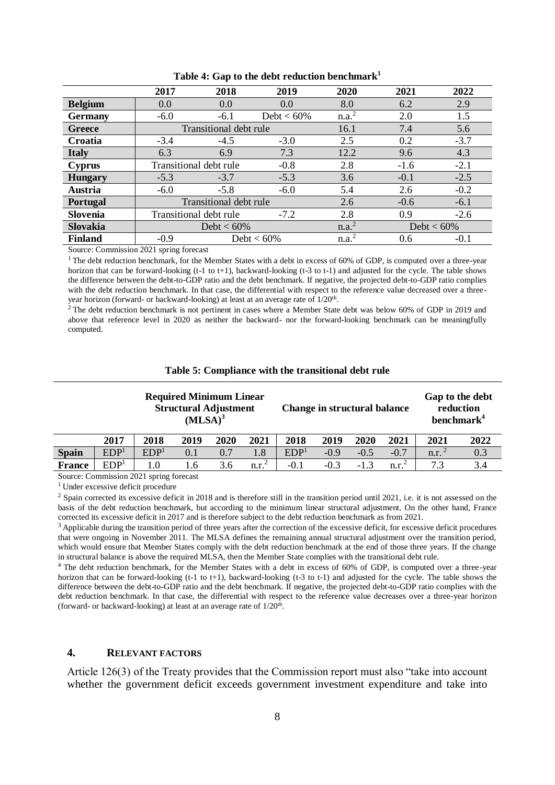|                 | 2017                             | 2018                   | 2019          | 2020              | 2021          | 2022   |
|-----------------|----------------------------------|------------------------|---------------|-------------------|---------------|--------|
| <b>Belgium</b>  | 0.0                              | 0.0                    | 0.0           | 8.0               | 6.2           | 2.9    |
| <b>Germany</b>  | $-6.0$                           | $-6.1$                 | Debt $< 60\%$ | n.a. <sup>2</sup> | 2.0           | 1.5    |
| Greece          |                                  | Transitional debt rule |               | 16.1              | 7.4           | 5.6    |
| Croatia         | $-3.4$                           | $-4.5$                 | $-3.0$        | 2.5               | 0.2           | $-3.7$ |
| <b>Italy</b>    | 6.3                              | 6.9                    | 7.3           | 12.2              | 9.6           | 4.3    |
| <b>Cyprus</b>   | Transitional debt rule<br>$-0.8$ |                        |               | 2.8               | $-1.6$        | $-2.1$ |
| <b>Hungary</b>  | $-5.3$                           | $-3.7$                 | $-5.3$        | 3.6               | $-0.1$        | $-2.5$ |
| Austria         | $-6.0$                           | $-5.8$                 | $-6.0$        | 5.4               | 2.6           | $-0.2$ |
| Portugal        | Transitional debt rule           |                        |               | 2.6               | $-0.6$        | $-6.1$ |
| <b>Slovenia</b> |                                  | Transitional debt rule | $-7.2$        | 2.8               | 0.9           | $-2.6$ |
| Slovakia        |                                  | Debt $< 60\%$          |               |                   | Debt < $60\%$ |        |
| <b>Finland</b>  | $-0.9$                           |                        | Debt $< 60\%$ | n.a. <sup>2</sup> | 0.6           | $-0.1$ |

| Table 4: Gap to the debt reduction benchmark <sup>1</sup> |  |  |  |  |  |
|-----------------------------------------------------------|--|--|--|--|--|
|-----------------------------------------------------------|--|--|--|--|--|

Source: Commission 2021 spring forecast

 $1$  The debt reduction benchmark, for the Member States with a debt in excess of 60% of GDP, is computed over a three-year horizon that can be forward-looking  $(t-1)$  to  $t+1$ ), backward-looking  $(t-3)$  to  $t-1$ ) and adjusted for the cycle. The table shows the difference between the debt-to-GDP ratio and the debt benchmark. If negative, the projected debt-to-GDP ratio complies with the debt reduction benchmark. In that case, the differential with respect to the reference value decreased over a threeyear horizon (forward- or backward-looking) at least at an average rate of 1/20<sup>th</sup>.

<sup>2</sup> The debt reduction benchmark is not pertinent in cases where a Member State debt was below 60% of GDP in 2019 and above that reference level in 2020 as neither the backward- nor the forward-looking benchmark can be meaningfully computed.

|  | Table 5: Compliance with the transitional debt rule |  |  |  |
|--|-----------------------------------------------------|--|--|--|
|--|-----------------------------------------------------|--|--|--|

|               | <b>Required Minimum Linear</b><br><b>Structural Adjustment</b><br>$(MLSA)^3$ |                  | Change in structural balance |      |                   |                  | Gap to the debt<br>reduction<br>benchmark <sup>4</sup> |        |                   |                     |      |
|---------------|------------------------------------------------------------------------------|------------------|------------------------------|------|-------------------|------------------|--------------------------------------------------------|--------|-------------------|---------------------|------|
|               | 2017                                                                         | 2018             | 2019                         | 2020 | 2021              | 2018             | 2019                                                   | 2020   | 2021              | 2021                | 2022 |
| <b>Spain</b>  | EDP <sup>1</sup>                                                             | EDP <sup>1</sup> | 0.1                          | 0.7  | 1.8               | EDP <sup>1</sup> | $-0.9$                                                 | $-0.5$ | $-0.7$            | $n.r.$ <sup>2</sup> | 0.3  |
| <b>France</b> | EDP <sup>1</sup>                                                             | $1.0\,$          | l.6                          | 3.6  | n.r. <sup>2</sup> | $-0.1$           | $-0.3$                                                 | $-1.3$ | n.r. <sup>2</sup> | 7.3                 | 3.4  |

Source: Commission 2021 spring forecast

 $1$  Under excessive deficit procedure

 $2$  Spain corrected its excessive deficit in 2018 and is therefore still in the transition period until 2021, i.e. it is not assessed on the basis of the debt reduction benchmark, but according to the minimum linear structural adjustment. On the other hand, France corrected its excessive deficit in 2017 and is therefore subject to the debt reduction benchmark as from 2021.

<sup>3</sup> Applicable during the transition period of three years after the correction of the excessive deficit, for excessive deficit procedures that were ongoing in November 2011. The MLSA defines the remaining annual structural adjustment over the transition period, which would ensure that Member States comply with the debt reduction benchmark at the end of those three years. If the change in structural balance is above the required MLSA, then the Member State complies with the transitional debt rule.

<sup>4</sup> The debt reduction benchmark, for the Member States with a debt in excess of 60% of GDP, is computed over a three-year horizon that can be forward-looking (t-1 to t+1), backward-looking (t-3 to t-1) and adjusted for the cycle. The table shows the difference between the debt-to-GDP ratio and the debt benchmark. If negative, the projected debt-to-GDP ratio complies with the debt reduction benchmark. In that case, the differential with respect to the reference value decreases over a three-year horizon (forward- or backward-looking) at least at an average rate of  $1/20<sup>th</sup>$ .

#### **4. RELEVANT FACTORS**

Article 126(3) of the Treaty provides that the Commission report must also "take into account whether the government deficit exceeds government investment expenditure and take into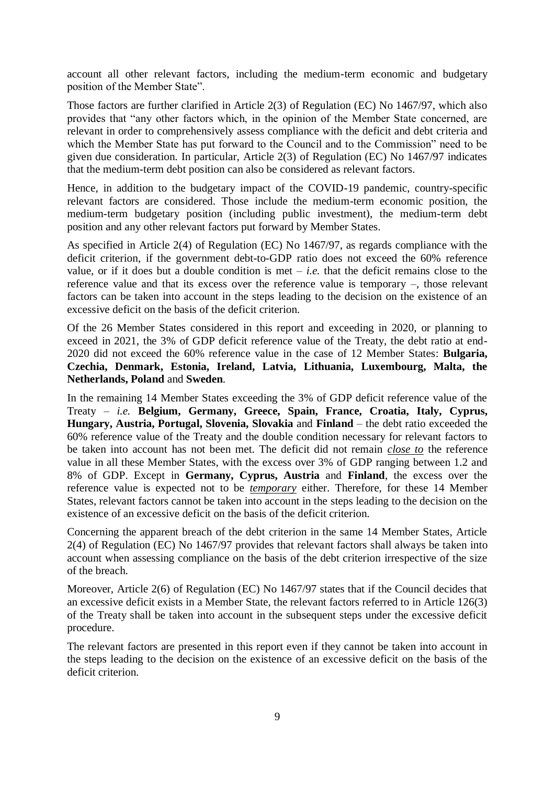account all other relevant factors, including the medium-term economic and budgetary position of the Member State".

Those factors are further clarified in Article 2(3) of Regulation (EC) No 1467/97, which also provides that "any other factors which, in the opinion of the Member State concerned, are relevant in order to comprehensively assess compliance with the deficit and debt criteria and which the Member State has put forward to the Council and to the Commission" need to be given due consideration. In particular, Article 2(3) of Regulation (EC) No 1467/97 indicates that the medium-term debt position can also be considered as relevant factors.

Hence, in addition to the budgetary impact of the COVID-19 pandemic, country-specific relevant factors are considered. Those include the medium-term economic position, the medium-term budgetary position (including public investment), the medium-term debt position and any other relevant factors put forward by Member States.

As specified in Article 2(4) of Regulation (EC) No 1467/97, as regards compliance with the deficit criterion, if the government debt-to-GDP ratio does not exceed the 60% reference value, or if it does but a double condition is met  $-i.e.$  that the deficit remains close to the reference value and that its excess over the reference value is temporary –, those relevant factors can be taken into account in the steps leading to the decision on the existence of an excessive deficit on the basis of the deficit criterion.

Of the 26 Member States considered in this report and exceeding in 2020, or planning to exceed in 2021, the 3% of GDP deficit reference value of the Treaty, the debt ratio at end-2020 did not exceed the 60% reference value in the case of 12 Member States: **Bulgaria, Czechia, Denmark, Estonia, Ireland, Latvia, Lithuania, Luxembourg, Malta, the Netherlands, Poland** and **Sweden**.

In the remaining 14 Member States exceeding the 3% of GDP deficit reference value of the Treaty – *i.e.* **Belgium, Germany, Greece, Spain, France, Croatia, Italy, Cyprus, Hungary, Austria, Portugal, Slovenia, Slovakia** and **Finland** – the debt ratio exceeded the 60% reference value of the Treaty and the double condition necessary for relevant factors to be taken into account has not been met. The deficit did not remain *close to* the reference value in all these Member States, with the excess over 3% of GDP ranging between 1.2 and 8% of GDP. Except in **Germany, Cyprus, Austria** and **Finland**, the excess over the reference value is expected not to be *temporary* either. Therefore, for these 14 Member States, relevant factors cannot be taken into account in the steps leading to the decision on the existence of an excessive deficit on the basis of the deficit criterion.

Concerning the apparent breach of the debt criterion in the same 14 Member States, Article 2(4) of Regulation (EC) No 1467/97 provides that relevant factors shall always be taken into account when assessing compliance on the basis of the debt criterion irrespective of the size of the breach.

Moreover, Article 2(6) of Regulation (EC) No 1467/97 states that if the Council decides that an excessive deficit exists in a Member State, the relevant factors referred to in Article 126(3) of the Treaty shall be taken into account in the subsequent steps under the excessive deficit procedure.

The relevant factors are presented in this report even if they cannot be taken into account in the steps leading to the decision on the existence of an excessive deficit on the basis of the deficit criterion.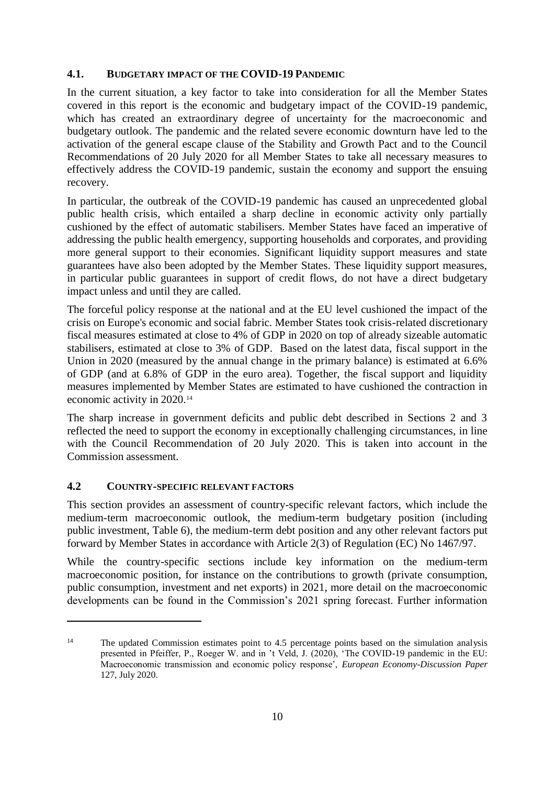### **4.1. BUDGETARY IMPACT OF THE COVID-19 PANDEMIC**

In the current situation, a key factor to take into consideration for all the Member States covered in this report is the economic and budgetary impact of the COVID-19 pandemic, which has created an extraordinary degree of uncertainty for the macroeconomic and budgetary outlook. The pandemic and the related severe economic downturn have led to the activation of the general escape clause of the Stability and Growth Pact and to the Council Recommendations of 20 July 2020 for all Member States to take all necessary measures to effectively address the COVID-19 pandemic, sustain the economy and support the ensuing recovery.

In particular, the outbreak of the COVID-19 pandemic has caused an unprecedented global public health crisis, which entailed a sharp decline in economic activity only partially cushioned by the effect of automatic stabilisers. Member States have faced an imperative of addressing the public health emergency, supporting households and corporates, and providing more general support to their economies. Significant liquidity support measures and state guarantees have also been adopted by the Member States. These liquidity support measures, in particular public guarantees in support of credit flows, do not have a direct budgetary impact unless and until they are called.

The forceful policy response at the national and at the EU level cushioned the impact of the crisis on Europe's economic and social fabric. Member States took crisis-related discretionary fiscal measures estimated at close to 4% of GDP in 2020 on top of already sizeable automatic stabilisers, estimated at close to 3% of GDP. Based on the latest data, fiscal support in the Union in 2020 (measured by the annual change in the primary balance) is estimated at 6.6% of GDP (and at 6.8% of GDP in the euro area). Together, the fiscal support and liquidity measures implemented by Member States are estimated to have cushioned the contraction in economic activity in 2020.<sup>14</sup>

The sharp increase in government deficits and public debt described in Sections 2 and 3 reflected the need to support the economy in exceptionally challenging circumstances, in line with the Council Recommendation of 20 July 2020. This is taken into account in the Commission assessment.

## **4.2 COUNTRY-SPECIFIC RELEVANT FACTORS**

1

This section provides an assessment of country-specific relevant factors, which include the medium-term macroeconomic outlook, the medium-term budgetary position (including public investment, Table 6), the medium-term debt position and any other relevant factors put forward by Member States in accordance with Article 2(3) of Regulation (EC) No 1467/97.

While the country-specific sections include key information on the medium-term macroeconomic position, for instance on the contributions to growth (private consumption, public consumption, investment and net exports) in 2021, more detail on the macroeconomic developments can be found in the Commission's 2021 spring forecast. Further information

<sup>&</sup>lt;sup>14</sup> The updated Commission estimates point to 4.5 percentage points based on the simulation analysis presented in Pfeiffer, P., Roeger W. and in 't Veld, J. (2020), 'The COVID-19 pandemic in the EU: Macroeconomic transmission and economic policy response', *European Economy-Discussion Paper* 127, July 2020.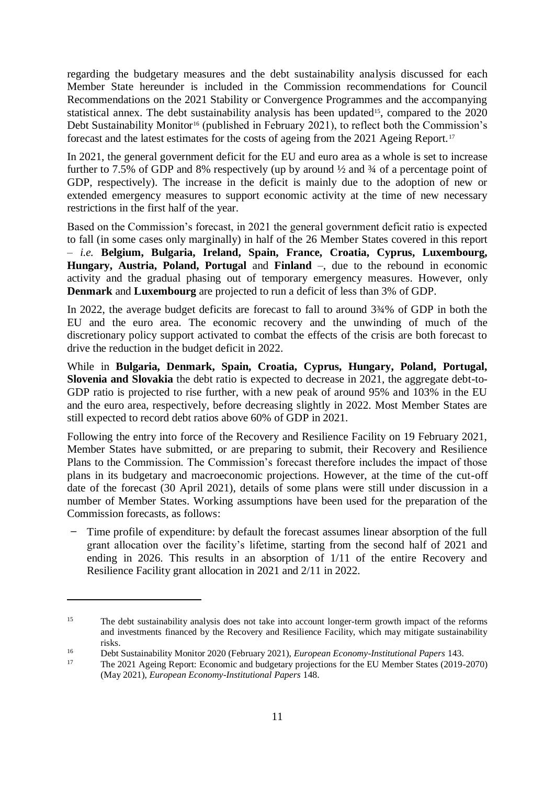regarding the budgetary measures and the debt sustainability analysis discussed for each Member State hereunder is included in the Commission recommendations for Council Recommendations on the 2021 Stability or Convergence Programmes and the accompanying statistical annex. The debt sustainability analysis has been updated<sup>15</sup>, compared to the 2020 Debt Sustainability Monitor<sup>16</sup> (published in February 2021), to reflect both the Commission's forecast and the latest estimates for the costs of ageing from the 2021 Ageing Report.<sup>17</sup>

In 2021, the general government deficit for the EU and euro area as a whole is set to increase further to 7.5% of GDP and 8% respectively (up by around ½ and ¾ of a percentage point of GDP, respectively). The increase in the deficit is mainly due to the adoption of new or extended emergency measures to support economic activity at the time of new necessary restrictions in the first half of the year.

Based on the Commission's forecast, in 2021 the general government deficit ratio is expected to fall (in some cases only marginally) in half of the 26 Member States covered in this report – *i.e.* **Belgium, Bulgaria, Ireland, Spain, France, Croatia, Cyprus, Luxembourg, Hungary, Austria, Poland, Portugal** and **Finland** –, due to the rebound in economic activity and the gradual phasing out of temporary emergency measures. However, only **Denmark** and **Luxembourg** are projected to run a deficit of less than 3% of GDP.

In 2022, the average budget deficits are forecast to fall to around  $3\frac{3}{4}\%$  of GDP in both the EU and the euro area. The economic recovery and the unwinding of much of the discretionary policy support activated to combat the effects of the crisis are both forecast to drive the reduction in the budget deficit in 2022.

While in **Bulgaria, Denmark, Spain, Croatia, Cyprus, Hungary, Poland, Portugal, Slovenia and Slovakia** the debt ratio is expected to decrease in 2021, the aggregate debt-to-GDP ratio is projected to rise further, with a new peak of around 95% and 103% in the EU and the euro area, respectively, before decreasing slightly in 2022. Most Member States are still expected to record debt ratios above 60% of GDP in 2021.

Following the entry into force of the Recovery and Resilience Facility on 19 February 2021, Member States have submitted, or are preparing to submit, their Recovery and Resilience Plans to the Commission. The Commission's forecast therefore includes the impact of those plans in its budgetary and macroeconomic projections. However, at the time of the cut-off date of the forecast (30 April 2021), details of some plans were still under discussion in a number of Member States. Working assumptions have been used for the preparation of the Commission forecasts, as follows:

̶ Time profile of expenditure: by default the forecast assumes linear absorption of the full grant allocation over the facility's lifetime, starting from the second half of 2021 and ending in 2026. This results in an absorption of 1/11 of the entire Recovery and Resilience Facility grant allocation in 2021 and 2/11 in 2022.

.

<sup>&</sup>lt;sup>15</sup> The debt sustainability analysis does not take into account longer-term growth impact of the reforms and investments financed by the Recovery and Resilience Facility, which may mitigate sustainability risks.

<sup>16</sup> Debt Sustainability Monitor 2020 (February 2021), *European Economy-Institutional Papers* 143.

<sup>17</sup> The 2021 Ageing Report: Economic and budgetary projections for the EU Member States (2019-2070) (May 2021), *European Economy-Institutional Papers* 148.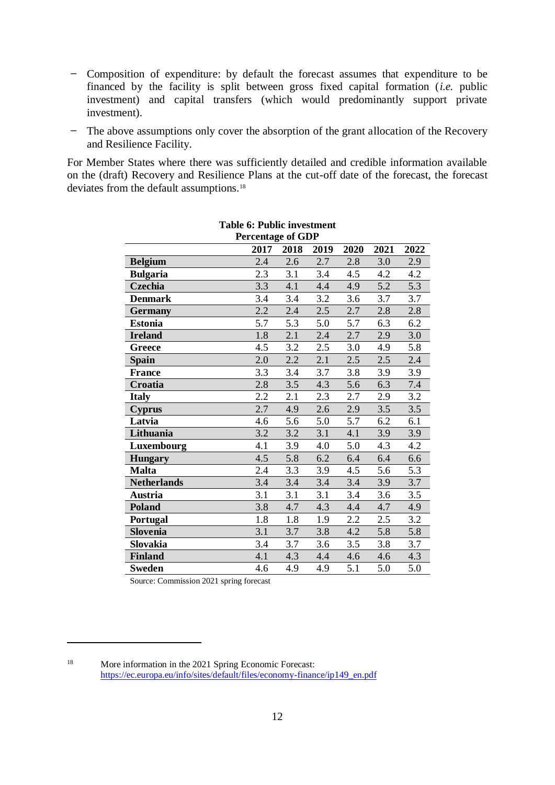- ̶ Composition of expenditure: by default the forecast assumes that expenditure to be financed by the facility is split between gross fixed capital formation (*i.e.* public investment) and capital transfers (which would predominantly support private investment).
- The above assumptions only cover the absorption of the grant allocation of the Recovery and Resilience Facility.

For Member States where there was sufficiently detailed and credible information available on the (draft) Recovery and Resilience Plans at the cut-off date of the forecast, the forecast deviates from the default assumptions.<sup>18</sup>

| <b>Table 6: Public investment</b><br><b>Percentage of GDP</b> |      |                  |      |         |      |      |  |
|---------------------------------------------------------------|------|------------------|------|---------|------|------|--|
|                                                               | 2017 | 2018             | 2019 | 2020    | 2021 | 2022 |  |
| <b>Belgium</b>                                                | 2.4  | 2.6              | 2.7  | 2.8     | 3.0  | 2.9  |  |
| <b>Bulgaria</b>                                               | 2.3  | 3.1              | 3.4  | 4.5     | 4.2  | 4.2  |  |
| Czechia                                                       | 3.3  | 4.1              | 4.4  | 4.9     | 5.2  | 5.3  |  |
| <b>Denmark</b>                                                | 3.4  | 3.4              | 3.2  | 3.6     | 3.7  | 3.7  |  |
| <b>Germany</b>                                                | 2.2  | 2.4              | 2.5  | 2.7     | 2.8  | 2.8  |  |
| <b>Estonia</b>                                                | 5.7  | 5.3              | 5.0  | 5.7     | 6.3  | 6.2  |  |
| <b>Ireland</b>                                                | 1.8  | 2.1              | 2.4  | 2.7     | 2.9  | 3.0  |  |
| Greece                                                        | 4.5  | 3.2              | 2.5  | 3.0     | 4.9  | 5.8  |  |
| <b>Spain</b>                                                  | 2.0  | 2.2              | 2.1  | 2.5     | 2.5  | 2.4  |  |
| <b>France</b>                                                 | 3.3  | 3.4              | 3.7  | 3.8     | 3.9  | 3.9  |  |
| Croatia                                                       | 2.8  | 3.5              | 4.3  | 5.6     | 6.3  | 7.4  |  |
| <b>Italy</b>                                                  | 2.2  | 2.1              | 2.3  | 2.7     | 2.9  | 3.2  |  |
| <b>Cyprus</b>                                                 | 2.7  | 4.9              | 2.6  | 2.9     | 3.5  | 3.5  |  |
| Latvia                                                        | 4.6  | 5.6              | 5.0  | 5.7     | 6.2  | 6.1  |  |
| Lithuania                                                     | 3.2  | 3.2              | 3.1  | 4.1     | 3.9  | 3.9  |  |
| Luxembourg                                                    | 4.1  | 3.9              | 4.0  | $5.0\,$ | 4.3  | 4.2  |  |
| <b>Hungary</b>                                                | 4.5  | 5.8              | 6.2  | 6.4     | 6.4  | 6.6  |  |
| <b>Malta</b>                                                  | 2.4  | 3.3              | 3.9  | 4.5     | 5.6  | 5.3  |  |
| <b>Netherlands</b>                                            | 3.4  | 3.4              | 3.4  | 3.4     | 3.9  | 3.7  |  |
| <b>Austria</b>                                                | 3.1  | 3.1              | 3.1  | 3.4     | 3.6  | 3.5  |  |
| <b>Poland</b>                                                 | 3.8  | 4.7              | 4.3  | 4.4     | 4.7  | 4.9  |  |
| Portugal                                                      | 1.8  | 1.8              | 1.9  | 2.2     | 2.5  | 3.2  |  |
| Slovenia                                                      | 3.1  | $\overline{3.7}$ | 3.8  | 4.2     | 5.8  | 5.8  |  |
| Slovakia                                                      | 3.4  | 3.7              | 3.6  | 3.5     | 3.8  | 3.7  |  |
| <b>Finland</b>                                                | 4.1  | 4.3              | 4.4  | 4.6     | 4.6  | 4.3  |  |
| <b>Sweden</b>                                                 | 4.6  | 4.9              | 4.9  | 5.1     | 5.0  | 5.0  |  |

Source: Commission 2021 spring forecast

1

<sup>18</sup> More information in the 2021 Spring Economic Forecast: [https://ec.europa.eu/info/sites/default/files/economy-finance/ip149\\_en.pdf](https://ec.europa.eu/info/sites/default/files/economy-finance/ip149_en.pdf)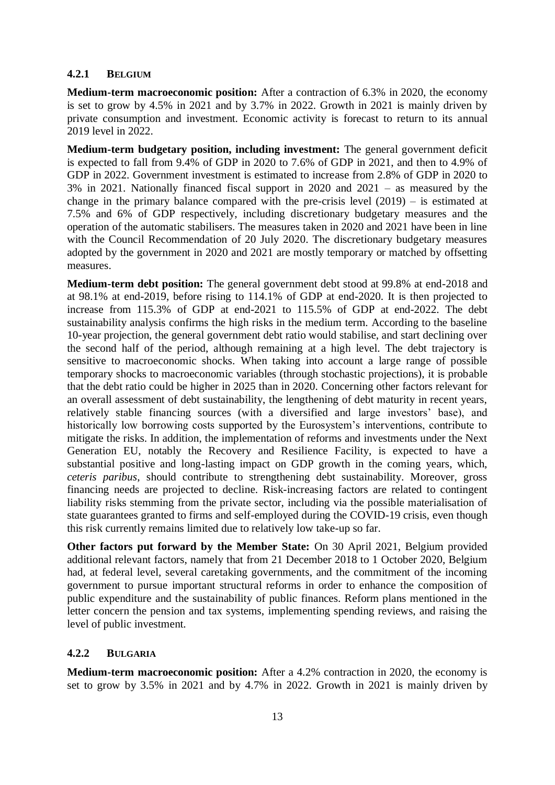### **4.2.1 BELGIUM**

**Medium-term macroeconomic position:** After a contraction of 6.3% in 2020, the economy is set to grow by 4.5% in 2021 and by 3.7% in 2022. Growth in 2021 is mainly driven by private consumption and investment. Economic activity is forecast to return to its annual 2019 level in 2022.

**Medium-term budgetary position, including investment:** The general government deficit is expected to fall from 9.4% of GDP in 2020 to 7.6% of GDP in 2021, and then to 4.9% of GDP in 2022. Government investment is estimated to increase from 2.8% of GDP in 2020 to 3% in 2021. Nationally financed fiscal support in 2020 and 2021 – as measured by the change in the primary balance compared with the pre-crisis level (2019) – is estimated at 7.5% and 6% of GDP respectively, including discretionary budgetary measures and the operation of the automatic stabilisers. The measures taken in 2020 and 2021 have been in line with the Council Recommendation of 20 July 2020. The discretionary budgetary measures adopted by the government in 2020 and 2021 are mostly temporary or matched by offsetting measures.

**Medium-term debt position:** The general government debt stood at 99.8% at end-2018 and at 98.1% at end-2019, before rising to 114.1% of GDP at end-2020. It is then projected to increase from 115.3% of GDP at end-2021 to 115.5% of GDP at end-2022. The debt sustainability analysis confirms the high risks in the medium term. According to the baseline 10-year projection, the general government debt ratio would stabilise, and start declining over the second half of the period, although remaining at a high level. The debt trajectory is sensitive to macroeconomic shocks. When taking into account a large range of possible temporary shocks to macroeconomic variables (through stochastic projections), it is probable that the debt ratio could be higher in 2025 than in 2020. Concerning other factors relevant for an overall assessment of debt sustainability, the lengthening of debt maturity in recent years, relatively stable financing sources (with a diversified and large investors' base), and historically low borrowing costs supported by the Eurosystem's interventions, contribute to mitigate the risks. In addition, the implementation of reforms and investments under the Next Generation EU, notably the Recovery and Resilience Facility, is expected to have a substantial positive and long-lasting impact on GDP growth in the coming years, which, *ceteris paribus*, should contribute to strengthening debt sustainability. Moreover, gross financing needs are projected to decline. Risk-increasing factors are related to contingent liability risks stemming from the private sector, including via the possible materialisation of state guarantees granted to firms and self-employed during the COVID-19 crisis, even though this risk currently remains limited due to relatively low take-up so far.

**Other factors put forward by the Member State:** On 30 April 2021, Belgium provided additional relevant factors, namely that from 21 December 2018 to 1 October 2020, Belgium had, at federal level, several caretaking governments, and the commitment of the incoming government to pursue important structural reforms in order to enhance the composition of public expenditure and the sustainability of public finances. Reform plans mentioned in the letter concern the pension and tax systems, implementing spending reviews, and raising the level of public investment.

## **4.2.2 BULGARIA**

**Medium-term macroeconomic position:** After a 4.2% contraction in 2020, the economy is set to grow by 3.5% in 2021 and by 4.7% in 2022. Growth in 2021 is mainly driven by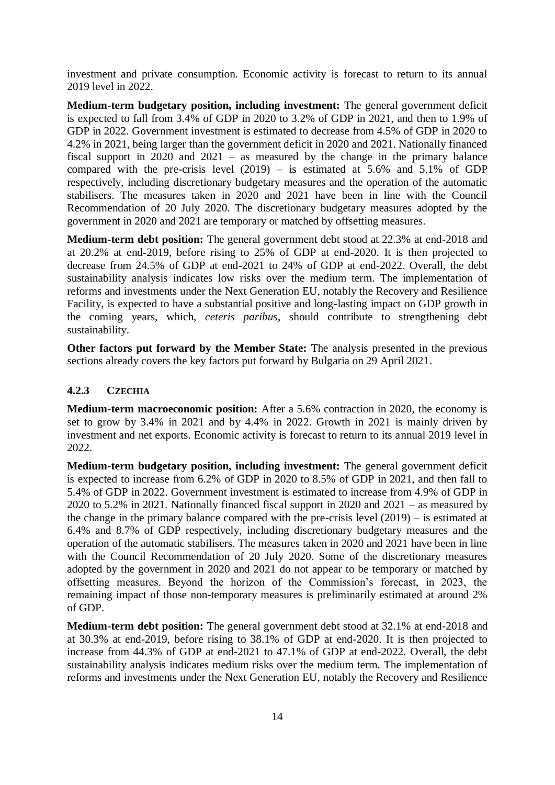investment and private consumption. Economic activity is forecast to return to its annual 2019 level in 2022.

**Medium-term budgetary position, including investment:** The general government deficit is expected to fall from 3.4% of GDP in 2020 to 3.2% of GDP in 2021, and then to 1.9% of GDP in 2022. Government investment is estimated to decrease from 4.5% of GDP in 2020 to 4.2% in 2021, being larger than the government deficit in 2020 and 2021. Nationally financed fiscal support in 2020 and 2021 – as measured by the change in the primary balance compared with the pre-crisis level  $(2019)$  – is estimated at 5.6% and 5.1% of GDP respectively, including discretionary budgetary measures and the operation of the automatic stabilisers. The measures taken in 2020 and 2021 have been in line with the Council Recommendation of 20 July 2020. The discretionary budgetary measures adopted by the government in 2020 and 2021 are temporary or matched by offsetting measures.

**Medium-term debt position:** The general government debt stood at 22.3% at end-2018 and at 20.2% at end-2019, before rising to 25% of GDP at end-2020. It is then projected to decrease from 24.5% of GDP at end-2021 to 24% of GDP at end-2022. Overall, the debt sustainability analysis indicates low risks over the medium term. The implementation of reforms and investments under the Next Generation EU, notably the Recovery and Resilience Facility, is expected to have a substantial positive and long-lasting impact on GDP growth in the coming years, which, *ceteris paribus*, should contribute to strengthening debt sustainability.

**Other factors put forward by the Member State:** The analysis presented in the previous sections already covers the key factors put forward by Bulgaria on 29 April 2021.

### **4.2.3 CZECHIA**

**Medium-term macroeconomic position:** After a 5.6% contraction in 2020, the economy is set to grow by 3.4% in 2021 and by 4.4% in 2022. Growth in 2021 is mainly driven by investment and net exports. Economic activity is forecast to return to its annual 2019 level in 2022.

**Medium-term budgetary position, including investment:** The general government deficit is expected to increase from 6.2% of GDP in 2020 to 8.5% of GDP in 2021, and then fall to 5.4% of GDP in 2022. Government investment is estimated to increase from 4.9% of GDP in 2020 to 5.2% in 2021. Nationally financed fiscal support in 2020 and 2021 – as measured by the change in the primary balance compared with the pre-crisis level (2019) – is estimated at 6.4% and 8.7% of GDP respectively, including discretionary budgetary measures and the operation of the automatic stabilisers. The measures taken in 2020 and 2021 have been in line with the Council Recommendation of 20 July 2020. Some of the discretionary measures adopted by the government in 2020 and 2021 do not appear to be temporary or matched by offsetting measures. Beyond the horizon of the Commission's forecast, in 2023, the remaining impact of those non-temporary measures is preliminarily estimated at around 2% of GDP.

**Medium-term debt position:** The general government debt stood at 32.1% at end-2018 and at 30.3% at end-2019, before rising to 38.1% of GDP at end-2020. It is then projected to increase from 44.3% of GDP at end-2021 to 47.1% of GDP at end-2022. Overall, the debt sustainability analysis indicates medium risks over the medium term. The implementation of reforms and investments under the Next Generation EU, notably the Recovery and Resilience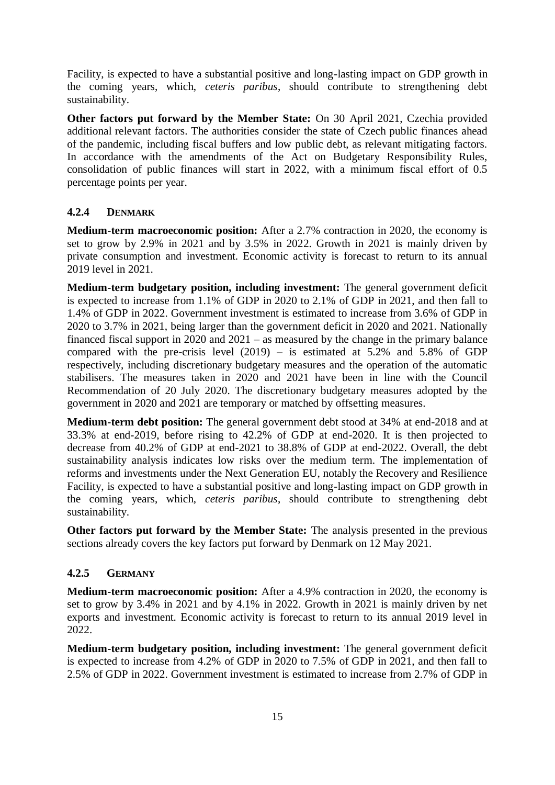Facility, is expected to have a substantial positive and long-lasting impact on GDP growth in the coming years, which, *ceteris paribus*, should contribute to strengthening debt sustainability.

**Other factors put forward by the Member State:** On 30 April 2021, Czechia provided additional relevant factors. The authorities consider the state of Czech public finances ahead of the pandemic, including fiscal buffers and low public debt, as relevant mitigating factors. In accordance with the amendments of the Act on Budgetary Responsibility Rules, consolidation of public finances will start in 2022, with a minimum fiscal effort of 0.5 percentage points per year.

### **4.2.4 DENMARK**

**Medium-term macroeconomic position:** After a 2.7% contraction in 2020, the economy is set to grow by 2.9% in 2021 and by 3.5% in 2022. Growth in 2021 is mainly driven by private consumption and investment. Economic activity is forecast to return to its annual 2019 level in 2021.

**Medium-term budgetary position, including investment:** The general government deficit is expected to increase from 1.1% of GDP in 2020 to 2.1% of GDP in 2021, and then fall to 1.4% of GDP in 2022. Government investment is estimated to increase from 3.6% of GDP in 2020 to 3.7% in 2021, being larger than the government deficit in 2020 and 2021. Nationally financed fiscal support in 2020 and 2021 – as measured by the change in the primary balance compared with the pre-crisis level  $(2019)$  – is estimated at 5.2% and 5.8% of GDP respectively, including discretionary budgetary measures and the operation of the automatic stabilisers. The measures taken in 2020 and 2021 have been in line with the Council Recommendation of 20 July 2020. The discretionary budgetary measures adopted by the government in 2020 and 2021 are temporary or matched by offsetting measures.

**Medium-term debt position:** The general government debt stood at 34% at end-2018 and at 33.3% at end-2019, before rising to 42.2% of GDP at end-2020. It is then projected to decrease from 40.2% of GDP at end-2021 to 38.8% of GDP at end-2022. Overall, the debt sustainability analysis indicates low risks over the medium term. The implementation of reforms and investments under the Next Generation EU, notably the Recovery and Resilience Facility, is expected to have a substantial positive and long-lasting impact on GDP growth in the coming years, which, *ceteris paribus*, should contribute to strengthening debt sustainability.

**Other factors put forward by the Member State:** The analysis presented in the previous sections already covers the key factors put forward by Denmark on 12 May 2021.

### **4.2.5 GERMANY**

**Medium-term macroeconomic position:** After a 4.9% contraction in 2020, the economy is set to grow by 3.4% in 2021 and by 4.1% in 2022. Growth in 2021 is mainly driven by net exports and investment. Economic activity is forecast to return to its annual 2019 level in 2022.

**Medium-term budgetary position, including investment:** The general government deficit is expected to increase from 4.2% of GDP in 2020 to 7.5% of GDP in 2021, and then fall to 2.5% of GDP in 2022. Government investment is estimated to increase from 2.7% of GDP in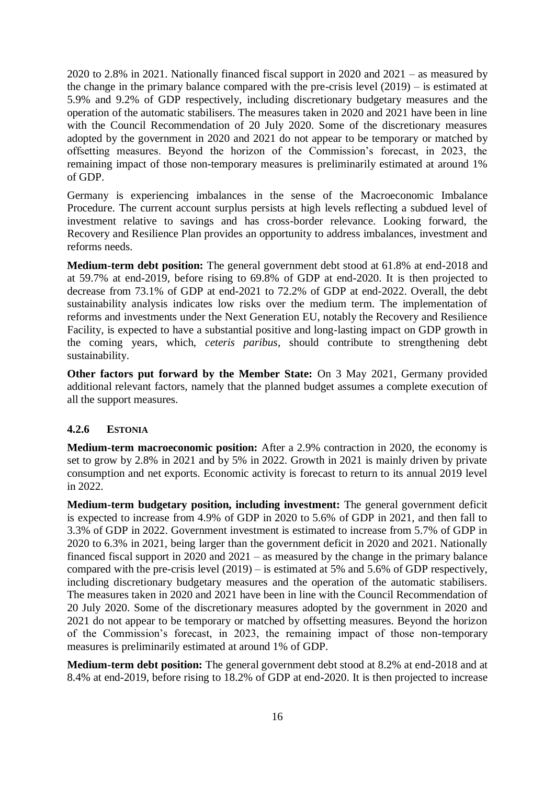2020 to 2.8% in 2021. Nationally financed fiscal support in 2020 and 2021 – as measured by the change in the primary balance compared with the pre-crisis level (2019) – is estimated at 5.9% and 9.2% of GDP respectively, including discretionary budgetary measures and the operation of the automatic stabilisers. The measures taken in 2020 and 2021 have been in line with the Council Recommendation of 20 July 2020. Some of the discretionary measures adopted by the government in 2020 and 2021 do not appear to be temporary or matched by offsetting measures. Beyond the horizon of the Commission's forecast, in 2023, the remaining impact of those non-temporary measures is preliminarily estimated at around 1% of GDP.

Germany is experiencing imbalances in the sense of the Macroeconomic Imbalance Procedure. The current account surplus persists at high levels reflecting a subdued level of investment relative to savings and has cross-border relevance. Looking forward, the Recovery and Resilience Plan provides an opportunity to address imbalances, investment and reforms needs.

**Medium-term debt position:** The general government debt stood at 61.8% at end-2018 and at 59.7% at end-2019, before rising to 69.8% of GDP at end-2020. It is then projected to decrease from 73.1% of GDP at end-2021 to 72.2% of GDP at end-2022. Overall, the debt sustainability analysis indicates low risks over the medium term. The implementation of reforms and investments under the Next Generation EU, notably the Recovery and Resilience Facility, is expected to have a substantial positive and long-lasting impact on GDP growth in the coming years, which, *ceteris paribus*, should contribute to strengthening debt sustainability.

**Other factors put forward by the Member State:** On 3 May 2021, Germany provided additional relevant factors, namely that the planned budget assumes a complete execution of all the support measures.

### **4.2.6 ESTONIA**

**Medium-term macroeconomic position:** After a 2.9% contraction in 2020, the economy is set to grow by 2.8% in 2021 and by 5% in 2022. Growth in 2021 is mainly driven by private consumption and net exports. Economic activity is forecast to return to its annual 2019 level in 2022.

**Medium-term budgetary position, including investment:** The general government deficit is expected to increase from 4.9% of GDP in 2020 to 5.6% of GDP in 2021, and then fall to 3.3% of GDP in 2022. Government investment is estimated to increase from 5.7% of GDP in 2020 to 6.3% in 2021, being larger than the government deficit in 2020 and 2021. Nationally financed fiscal support in 2020 and 2021 – as measured by the change in the primary balance compared with the pre-crisis level (2019) – is estimated at 5% and 5.6% of GDP respectively, including discretionary budgetary measures and the operation of the automatic stabilisers. The measures taken in 2020 and 2021 have been in line with the Council Recommendation of 20 July 2020. Some of the discretionary measures adopted by the government in 2020 and 2021 do not appear to be temporary or matched by offsetting measures. Beyond the horizon of the Commission's forecast, in 2023, the remaining impact of those non-temporary measures is preliminarily estimated at around 1% of GDP.

**Medium-term debt position:** The general government debt stood at 8.2% at end-2018 and at 8.4% at end-2019, before rising to 18.2% of GDP at end-2020. It is then projected to increase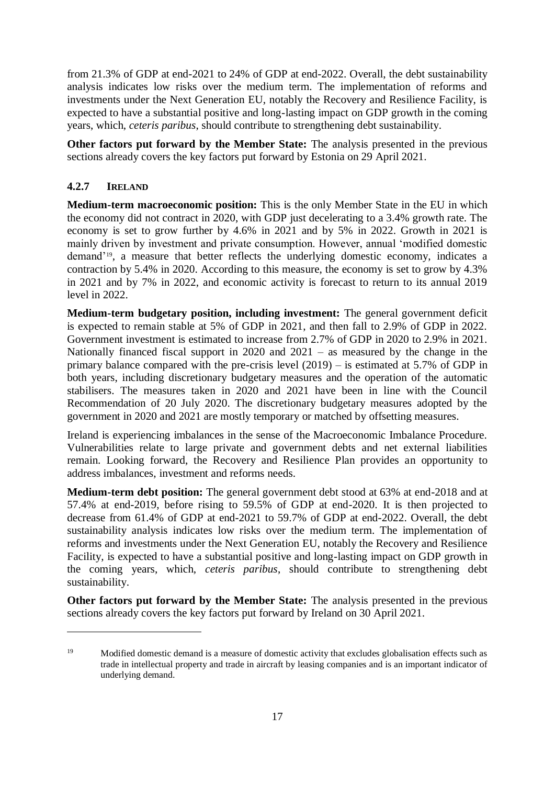from 21.3% of GDP at end-2021 to 24% of GDP at end-2022. Overall, the debt sustainability analysis indicates low risks over the medium term. The implementation of reforms and investments under the Next Generation EU, notably the Recovery and Resilience Facility, is expected to have a substantial positive and long-lasting impact on GDP growth in the coming years, which, *ceteris paribus*, should contribute to strengthening debt sustainability.

**Other factors put forward by the Member State:** The analysis presented in the previous sections already covers the key factors put forward by Estonia on 29 April 2021.

## **4.2.7 IRELAND**

.

**Medium-term macroeconomic position:** This is the only Member State in the EU in which the economy did not contract in 2020, with GDP just decelerating to a 3.4% growth rate. The economy is set to grow further by 4.6% in 2021 and by 5% in 2022. Growth in 2021 is mainly driven by investment and private consumption. However, annual 'modified domestic demand'19, a measure that better reflects the underlying domestic economy, indicates a contraction by 5.4% in 2020. According to this measure, the economy is set to grow by 4.3% in 2021 and by 7% in 2022, and economic activity is forecast to return to its annual 2019 level in 2022.

**Medium-term budgetary position, including investment:** The general government deficit is expected to remain stable at 5% of GDP in 2021, and then fall to 2.9% of GDP in 2022. Government investment is estimated to increase from 2.7% of GDP in 2020 to 2.9% in 2021. Nationally financed fiscal support in 2020 and 2021 – as measured by the change in the primary balance compared with the pre-crisis level (2019) – is estimated at 5.7% of GDP in both years, including discretionary budgetary measures and the operation of the automatic stabilisers. The measures taken in 2020 and 2021 have been in line with the Council Recommendation of 20 July 2020. The discretionary budgetary measures adopted by the government in 2020 and 2021 are mostly temporary or matched by offsetting measures.

Ireland is experiencing imbalances in the sense of the Macroeconomic Imbalance Procedure. Vulnerabilities relate to large private and government debts and net external liabilities remain. Looking forward, the Recovery and Resilience Plan provides an opportunity to address imbalances, investment and reforms needs.

**Medium-term debt position:** The general government debt stood at 63% at end-2018 and at 57.4% at end-2019, before rising to 59.5% of GDP at end-2020. It is then projected to decrease from 61.4% of GDP at end-2021 to 59.7% of GDP at end-2022. Overall, the debt sustainability analysis indicates low risks over the medium term. The implementation of reforms and investments under the Next Generation EU, notably the Recovery and Resilience Facility, is expected to have a substantial positive and long-lasting impact on GDP growth in the coming years, which, *ceteris paribus*, should contribute to strengthening debt sustainability.

**Other factors put forward by the Member State:** The analysis presented in the previous sections already covers the key factors put forward by Ireland on 30 April 2021.

<sup>&</sup>lt;sup>19</sup> Modified domestic demand is a measure of domestic activity that excludes globalisation effects such as trade in intellectual property and trade in aircraft by leasing companies and is an important indicator of underlying demand.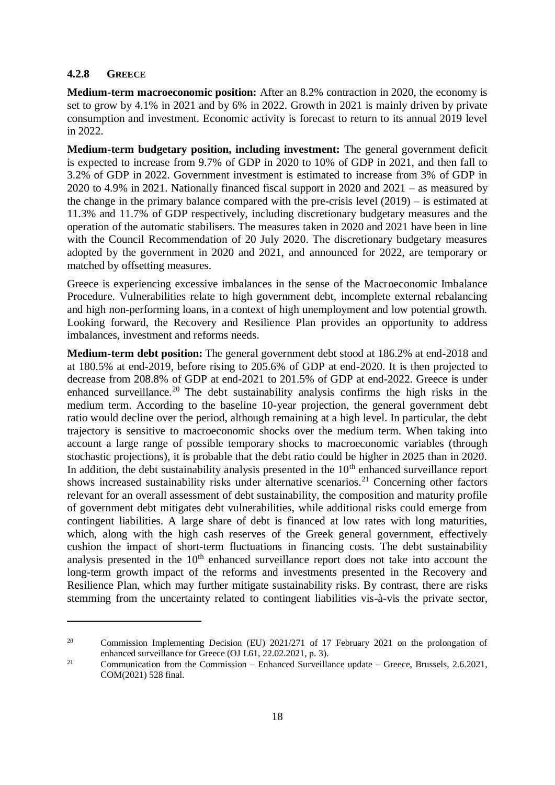### **4.2.8 GREECE**

1

**Medium-term macroeconomic position:** After an 8.2% contraction in 2020, the economy is set to grow by 4.1% in 2021 and by 6% in 2022. Growth in 2021 is mainly driven by private consumption and investment. Economic activity is forecast to return to its annual 2019 level in 2022.

**Medium-term budgetary position, including investment:** The general government deficit is expected to increase from 9.7% of GDP in 2020 to 10% of GDP in 2021, and then fall to 3.2% of GDP in 2022. Government investment is estimated to increase from 3% of GDP in 2020 to 4.9% in 2021. Nationally financed fiscal support in 2020 and 2021 – as measured by the change in the primary balance compared with the pre-crisis level (2019) – is estimated at 11.3% and 11.7% of GDP respectively, including discretionary budgetary measures and the operation of the automatic stabilisers. The measures taken in 2020 and 2021 have been in line with the Council Recommendation of 20 July 2020. The discretionary budgetary measures adopted by the government in 2020 and 2021, and announced for 2022, are temporary or matched by offsetting measures.

Greece is experiencing excessive imbalances in the sense of the Macroeconomic Imbalance Procedure. Vulnerabilities relate to high government debt, incomplete external rebalancing and high non-performing loans, in a context of high unemployment and low potential growth. Looking forward, the Recovery and Resilience Plan provides an opportunity to address imbalances, investment and reforms needs.

**Medium-term debt position:** The general government debt stood at 186.2% at end-2018 and at 180.5% at end-2019, before rising to 205.6% of GDP at end-2020. It is then projected to decrease from 208.8% of GDP at end-2021 to 201.5% of GDP at end-2022. Greece is under enhanced surveillance.<sup>20</sup> The debt sustainability analysis confirms the high risks in the medium term. According to the baseline 10-year projection, the general government debt ratio would decline over the period, although remaining at a high level. In particular, the debt trajectory is sensitive to macroeconomic shocks over the medium term. When taking into account a large range of possible temporary shocks to macroeconomic variables (through stochastic projections), it is probable that the debt ratio could be higher in 2025 than in 2020. In addition, the debt sustainability analysis presented in the  $10<sup>th</sup>$  enhanced surveillance report shows increased sustainability risks under alternative scenarios.<sup>21</sup> Concerning other factors relevant for an overall assessment of debt sustainability, the composition and maturity profile of government debt mitigates debt vulnerabilities, while additional risks could emerge from contingent liabilities. A large share of debt is financed at low rates with long maturities, which, along with the high cash reserves of the Greek general government, effectively cushion the impact of short-term fluctuations in financing costs. The debt sustainability analysis presented in the 10<sup>th</sup> enhanced surveillance report does not take into account the long-term growth impact of the reforms and investments presented in the Recovery and Resilience Plan, which may further mitigate sustainability risks. By contrast, there are risks stemming from the uncertainty related to contingent liabilities vis-à-vis the private sector,

<sup>&</sup>lt;sup>20</sup> Commission Implementing Decision (EU) 2021/271 of 17 February 2021 on the prolongation of enhanced surveillance for Greece (OJ L61, 22.02.2021, p. 3).

<sup>&</sup>lt;sup>21</sup> Communication from the Commission – Enhanced Surveillance update – Greece, Brussels, 2.6.2021, COM(2021) 528 final.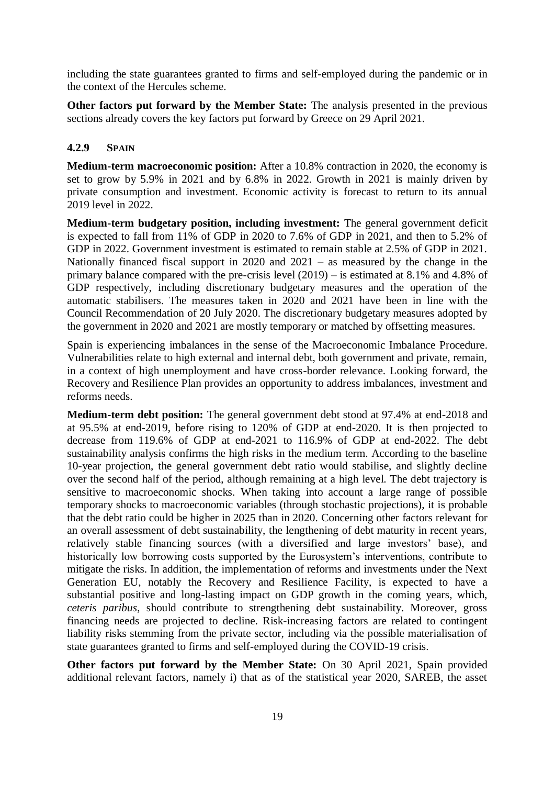including the state guarantees granted to firms and self-employed during the pandemic or in the context of the Hercules scheme.

**Other factors put forward by the Member State:** The analysis presented in the previous sections already covers the key factors put forward by Greece on 29 April 2021.

## **4.2.9 SPAIN**

**Medium-term macroeconomic position:** After a 10.8% contraction in 2020, the economy is set to grow by 5.9% in 2021 and by 6.8% in 2022. Growth in 2021 is mainly driven by private consumption and investment. Economic activity is forecast to return to its annual 2019 level in 2022.

**Medium-term budgetary position, including investment:** The general government deficit is expected to fall from 11% of GDP in 2020 to 7.6% of GDP in 2021, and then to 5.2% of GDP in 2022. Government investment is estimated to remain stable at 2.5% of GDP in 2021. Nationally financed fiscal support in 2020 and 2021 – as measured by the change in the primary balance compared with the pre-crisis level (2019) – is estimated at 8.1% and 4.8% of GDP respectively, including discretionary budgetary measures and the operation of the automatic stabilisers. The measures taken in 2020 and 2021 have been in line with the Council Recommendation of 20 July 2020. The discretionary budgetary measures adopted by the government in 2020 and 2021 are mostly temporary or matched by offsetting measures.

Spain is experiencing imbalances in the sense of the Macroeconomic Imbalance Procedure. Vulnerabilities relate to high external and internal debt, both government and private, remain, in a context of high unemployment and have cross-border relevance. Looking forward, the Recovery and Resilience Plan provides an opportunity to address imbalances, investment and reforms needs.

**Medium-term debt position:** The general government debt stood at 97.4% at end-2018 and at 95.5% at end-2019, before rising to 120% of GDP at end-2020. It is then projected to decrease from 119.6% of GDP at end-2021 to 116.9% of GDP at end-2022. The debt sustainability analysis confirms the high risks in the medium term. According to the baseline 10-year projection, the general government debt ratio would stabilise, and slightly decline over the second half of the period, although remaining at a high level. The debt trajectory is sensitive to macroeconomic shocks. When taking into account a large range of possible temporary shocks to macroeconomic variables (through stochastic projections), it is probable that the debt ratio could be higher in 2025 than in 2020. Concerning other factors relevant for an overall assessment of debt sustainability, the lengthening of debt maturity in recent years, relatively stable financing sources (with a diversified and large investors' base), and historically low borrowing costs supported by the Eurosystem's interventions, contribute to mitigate the risks. In addition, the implementation of reforms and investments under the Next Generation EU, notably the Recovery and Resilience Facility, is expected to have a substantial positive and long-lasting impact on GDP growth in the coming years, which, *ceteris paribus*, should contribute to strengthening debt sustainability. Moreover, gross financing needs are projected to decline. Risk-increasing factors are related to contingent liability risks stemming from the private sector, including via the possible materialisation of state guarantees granted to firms and self-employed during the COVID-19 crisis.

**Other factors put forward by the Member State:** On 30 April 2021, Spain provided additional relevant factors, namely i) that as of the statistical year 2020, SAREB, the asset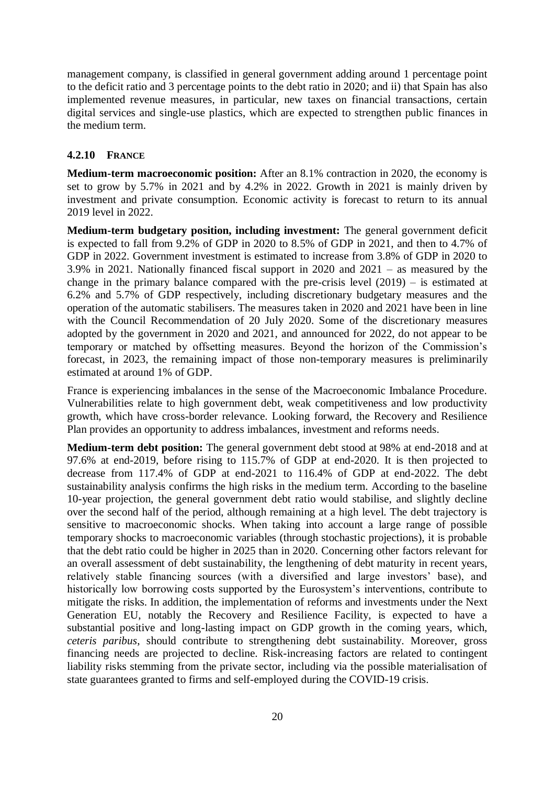management company, is classified in general government adding around 1 percentage point to the deficit ratio and 3 percentage points to the debt ratio in 2020; and ii) that Spain has also implemented revenue measures, in particular, new taxes on financial transactions, certain digital services and single-use plastics, which are expected to strengthen public finances in the medium term.

## **4.2.10 FRANCE**

**Medium-term macroeconomic position:** After an 8.1% contraction in 2020, the economy is set to grow by 5.7% in 2021 and by 4.2% in 2022. Growth in 2021 is mainly driven by investment and private consumption. Economic activity is forecast to return to its annual 2019 level in 2022.

**Medium-term budgetary position, including investment:** The general government deficit is expected to fall from 9.2% of GDP in 2020 to 8.5% of GDP in 2021, and then to 4.7% of GDP in 2022. Government investment is estimated to increase from 3.8% of GDP in 2020 to 3.9% in 2021. Nationally financed fiscal support in 2020 and 2021 – as measured by the change in the primary balance compared with the pre-crisis level (2019) – is estimated at 6.2% and 5.7% of GDP respectively, including discretionary budgetary measures and the operation of the automatic stabilisers. The measures taken in 2020 and 2021 have been in line with the Council Recommendation of 20 July 2020. Some of the discretionary measures adopted by the government in 2020 and 2021, and announced for 2022, do not appear to be temporary or matched by offsetting measures. Beyond the horizon of the Commission's forecast, in 2023, the remaining impact of those non-temporary measures is preliminarily estimated at around 1% of GDP.

France is experiencing imbalances in the sense of the Macroeconomic Imbalance Procedure. Vulnerabilities relate to high government debt, weak competitiveness and low productivity growth, which have cross-border relevance. Looking forward, the Recovery and Resilience Plan provides an opportunity to address imbalances, investment and reforms needs.

**Medium-term debt position:** The general government debt stood at 98% at end-2018 and at 97.6% at end-2019, before rising to 115.7% of GDP at end-2020. It is then projected to decrease from 117.4% of GDP at end-2021 to 116.4% of GDP at end-2022. The debt sustainability analysis confirms the high risks in the medium term. According to the baseline 10-year projection, the general government debt ratio would stabilise, and slightly decline over the second half of the period, although remaining at a high level. The debt trajectory is sensitive to macroeconomic shocks. When taking into account a large range of possible temporary shocks to macroeconomic variables (through stochastic projections), it is probable that the debt ratio could be higher in 2025 than in 2020. Concerning other factors relevant for an overall assessment of debt sustainability, the lengthening of debt maturity in recent years, relatively stable financing sources (with a diversified and large investors' base), and historically low borrowing costs supported by the Eurosystem's interventions, contribute to mitigate the risks. In addition, the implementation of reforms and investments under the Next Generation EU, notably the Recovery and Resilience Facility, is expected to have a substantial positive and long-lasting impact on GDP growth in the coming years, which, *ceteris paribus*, should contribute to strengthening debt sustainability. Moreover, gross financing needs are projected to decline. Risk-increasing factors are related to contingent liability risks stemming from the private sector, including via the possible materialisation of state guarantees granted to firms and self-employed during the COVID-19 crisis.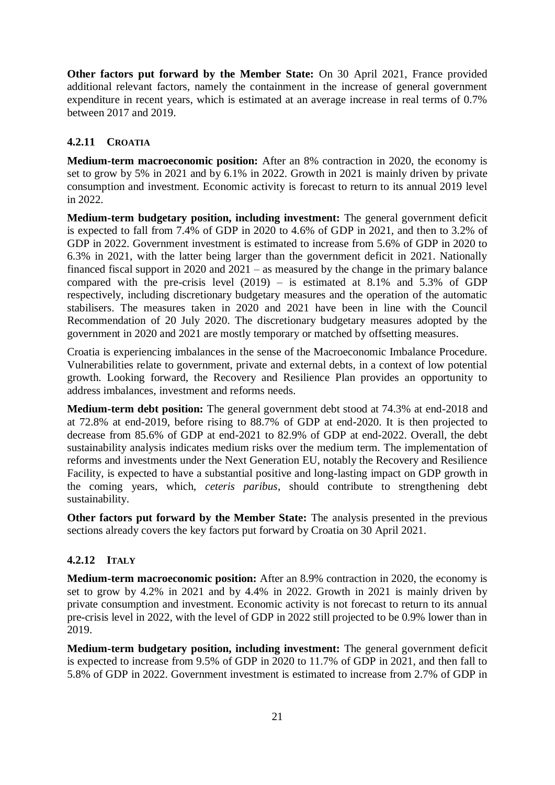**Other factors put forward by the Member State:** On 30 April 2021, France provided additional relevant factors, namely the containment in the increase of general government expenditure in recent years, which is estimated at an average increase in real terms of 0.7% between 2017 and 2019.

## **4.2.11 CROATIA**

**Medium-term macroeconomic position:** After an 8% contraction in 2020, the economy is set to grow by 5% in 2021 and by 6.1% in 2022. Growth in 2021 is mainly driven by private consumption and investment. Economic activity is forecast to return to its annual 2019 level in 2022.

**Medium-term budgetary position, including investment:** The general government deficit is expected to fall from 7.4% of GDP in 2020 to 4.6% of GDP in 2021, and then to 3.2% of GDP in 2022. Government investment is estimated to increase from 5.6% of GDP in 2020 to 6.3% in 2021, with the latter being larger than the government deficit in 2021. Nationally financed fiscal support in 2020 and 2021 – as measured by the change in the primary balance compared with the pre-crisis level  $(2019)$  – is estimated at 8.1% and 5.3% of GDP respectively, including discretionary budgetary measures and the operation of the automatic stabilisers. The measures taken in 2020 and 2021 have been in line with the Council Recommendation of 20 July 2020. The discretionary budgetary measures adopted by the government in 2020 and 2021 are mostly temporary or matched by offsetting measures.

Croatia is experiencing imbalances in the sense of the Macroeconomic Imbalance Procedure. Vulnerabilities relate to government, private and external debts, in a context of low potential growth. Looking forward, the Recovery and Resilience Plan provides an opportunity to address imbalances, investment and reforms needs.

**Medium-term debt position:** The general government debt stood at 74.3% at end-2018 and at 72.8% at end-2019, before rising to 88.7% of GDP at end-2020. It is then projected to decrease from 85.6% of GDP at end-2021 to 82.9% of GDP at end-2022. Overall, the debt sustainability analysis indicates medium risks over the medium term. The implementation of reforms and investments under the Next Generation EU, notably the Recovery and Resilience Facility, is expected to have a substantial positive and long-lasting impact on GDP growth in the coming years, which, *ceteris paribus*, should contribute to strengthening debt sustainability.

**Other factors put forward by the Member State:** The analysis presented in the previous sections already covers the key factors put forward by Croatia on 30 April 2021.

## **4.2.12 ITALY**

**Medium-term macroeconomic position:** After an 8.9% contraction in 2020, the economy is set to grow by 4.2% in 2021 and by 4.4% in 2022. Growth in 2021 is mainly driven by private consumption and investment. Economic activity is not forecast to return to its annual pre-crisis level in 2022, with the level of GDP in 2022 still projected to be 0.9% lower than in 2019.

**Medium-term budgetary position, including investment:** The general government deficit is expected to increase from 9.5% of GDP in 2020 to 11.7% of GDP in 2021, and then fall to 5.8% of GDP in 2022. Government investment is estimated to increase from 2.7% of GDP in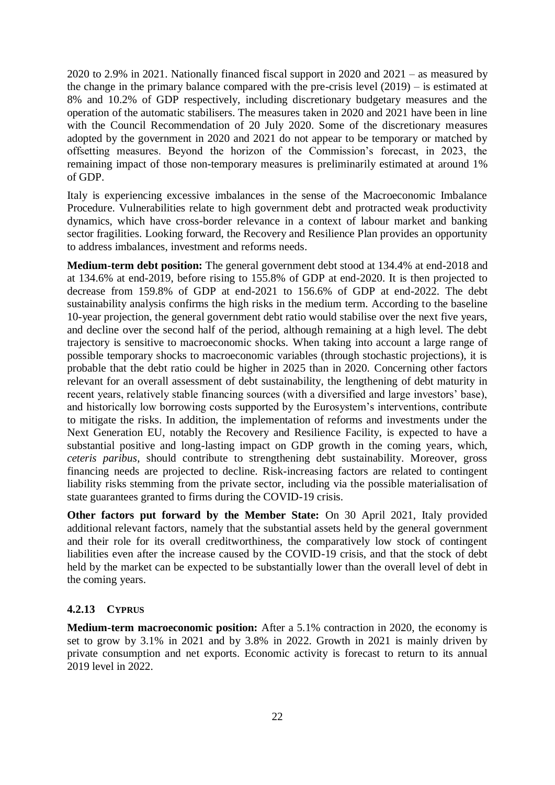2020 to 2.9% in 2021. Nationally financed fiscal support in 2020 and 2021 – as measured by the change in the primary balance compared with the pre-crisis level (2019) – is estimated at 8% and 10.2% of GDP respectively, including discretionary budgetary measures and the operation of the automatic stabilisers. The measures taken in 2020 and 2021 have been in line with the Council Recommendation of 20 July 2020. Some of the discretionary measures adopted by the government in 2020 and 2021 do not appear to be temporary or matched by offsetting measures. Beyond the horizon of the Commission's forecast, in 2023, the remaining impact of those non-temporary measures is preliminarily estimated at around 1% of GDP.

Italy is experiencing excessive imbalances in the sense of the Macroeconomic Imbalance Procedure. Vulnerabilities relate to high government debt and protracted weak productivity dynamics, which have cross-border relevance in a context of labour market and banking sector fragilities. Looking forward, the Recovery and Resilience Plan provides an opportunity to address imbalances, investment and reforms needs.

**Medium-term debt position:** The general government debt stood at 134.4% at end-2018 and at 134.6% at end-2019, before rising to 155.8% of GDP at end-2020. It is then projected to decrease from 159.8% of GDP at end-2021 to 156.6% of GDP at end-2022. The debt sustainability analysis confirms the high risks in the medium term. According to the baseline 10-year projection, the general government debt ratio would stabilise over the next five years, and decline over the second half of the period, although remaining at a high level. The debt trajectory is sensitive to macroeconomic shocks. When taking into account a large range of possible temporary shocks to macroeconomic variables (through stochastic projections), it is probable that the debt ratio could be higher in 2025 than in 2020. Concerning other factors relevant for an overall assessment of debt sustainability, the lengthening of debt maturity in recent years, relatively stable financing sources (with a diversified and large investors' base), and historically low borrowing costs supported by the Eurosystem's interventions, contribute to mitigate the risks. In addition, the implementation of reforms and investments under the Next Generation EU, notably the Recovery and Resilience Facility, is expected to have a substantial positive and long-lasting impact on GDP growth in the coming years, which, *ceteris paribus*, should contribute to strengthening debt sustainability. Moreover, gross financing needs are projected to decline. Risk-increasing factors are related to contingent liability risks stemming from the private sector, including via the possible materialisation of state guarantees granted to firms during the COVID-19 crisis.

**Other factors put forward by the Member State:** On 30 April 2021, Italy provided additional relevant factors, namely that the substantial assets held by the general government and their role for its overall creditworthiness, the comparatively low stock of contingent liabilities even after the increase caused by the COVID-19 crisis, and that the stock of debt held by the market can be expected to be substantially lower than the overall level of debt in the coming years.

### **4.2.13 CYPRUS**

**Medium-term macroeconomic position:** After a 5.1% contraction in 2020, the economy is set to grow by 3.1% in 2021 and by 3.8% in 2022. Growth in 2021 is mainly driven by private consumption and net exports. Economic activity is forecast to return to its annual 2019 level in 2022.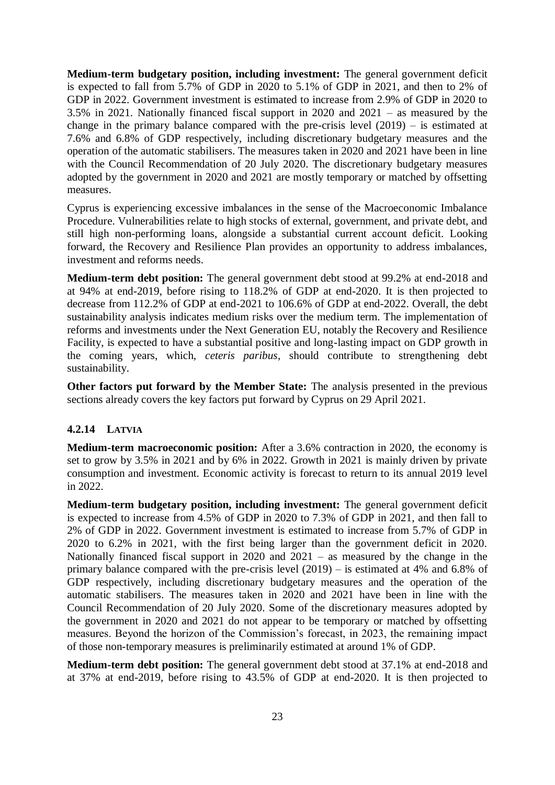**Medium-term budgetary position, including investment:** The general government deficit is expected to fall from 5.7% of GDP in 2020 to 5.1% of GDP in 2021, and then to 2% of GDP in 2022. Government investment is estimated to increase from 2.9% of GDP in 2020 to 3.5% in 2021. Nationally financed fiscal support in 2020 and 2021 – as measured by the change in the primary balance compared with the pre-crisis level (2019) – is estimated at 7.6% and 6.8% of GDP respectively, including discretionary budgetary measures and the operation of the automatic stabilisers. The measures taken in 2020 and 2021 have been in line with the Council Recommendation of 20 July 2020. The discretionary budgetary measures adopted by the government in 2020 and 2021 are mostly temporary or matched by offsetting measures.

Cyprus is experiencing excessive imbalances in the sense of the Macroeconomic Imbalance Procedure. Vulnerabilities relate to high stocks of external, government, and private debt, and still high non-performing loans, alongside a substantial current account deficit. Looking forward, the Recovery and Resilience Plan provides an opportunity to address imbalances, investment and reforms needs.

**Medium-term debt position:** The general government debt stood at 99.2% at end-2018 and at 94% at end-2019, before rising to 118.2% of GDP at end-2020. It is then projected to decrease from 112.2% of GDP at end-2021 to 106.6% of GDP at end-2022. Overall, the debt sustainability analysis indicates medium risks over the medium term. The implementation of reforms and investments under the Next Generation EU, notably the Recovery and Resilience Facility, is expected to have a substantial positive and long-lasting impact on GDP growth in the coming years, which, *ceteris paribus*, should contribute to strengthening debt sustainability.

**Other factors put forward by the Member State:** The analysis presented in the previous sections already covers the key factors put forward by Cyprus on 29 April 2021.

### **4.2.14 LATVIA**

**Medium-term macroeconomic position:** After a 3.6% contraction in 2020, the economy is set to grow by 3.5% in 2021 and by 6% in 2022. Growth in 2021 is mainly driven by private consumption and investment. Economic activity is forecast to return to its annual 2019 level in 2022.

**Medium-term budgetary position, including investment:** The general government deficit is expected to increase from 4.5% of GDP in 2020 to 7.3% of GDP in 2021, and then fall to 2% of GDP in 2022. Government investment is estimated to increase from 5.7% of GDP in 2020 to 6.2% in 2021, with the first being larger than the government deficit in 2020. Nationally financed fiscal support in 2020 and 2021 – as measured by the change in the primary balance compared with the pre-crisis level (2019) – is estimated at 4% and 6.8% of GDP respectively, including discretionary budgetary measures and the operation of the automatic stabilisers. The measures taken in 2020 and 2021 have been in line with the Council Recommendation of 20 July 2020. Some of the discretionary measures adopted by the government in 2020 and 2021 do not appear to be temporary or matched by offsetting measures. Beyond the horizon of the Commission's forecast, in 2023, the remaining impact of those non-temporary measures is preliminarily estimated at around 1% of GDP.

**Medium-term debt position:** The general government debt stood at 37.1% at end-2018 and at 37% at end-2019, before rising to 43.5% of GDP at end-2020. It is then projected to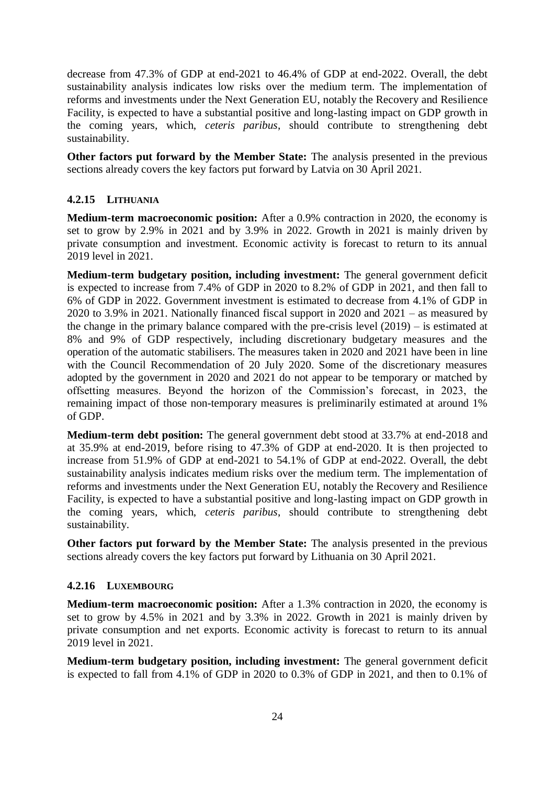decrease from 47.3% of GDP at end-2021 to 46.4% of GDP at end-2022. Overall, the debt sustainability analysis indicates low risks over the medium term. The implementation of reforms and investments under the Next Generation EU, notably the Recovery and Resilience Facility, is expected to have a substantial positive and long-lasting impact on GDP growth in the coming years, which, *ceteris paribus*, should contribute to strengthening debt sustainability.

**Other factors put forward by the Member State:** The analysis presented in the previous sections already covers the key factors put forward by Latvia on 30 April 2021.

## **4.2.15 LITHUANIA**

**Medium-term macroeconomic position:** After a 0.9% contraction in 2020, the economy is set to grow by 2.9% in 2021 and by 3.9% in 2022. Growth in 2021 is mainly driven by private consumption and investment. Economic activity is forecast to return to its annual 2019 level in 2021.

**Medium-term budgetary position, including investment:** The general government deficit is expected to increase from 7.4% of GDP in 2020 to 8.2% of GDP in 2021, and then fall to 6% of GDP in 2022. Government investment is estimated to decrease from 4.1% of GDP in 2020 to 3.9% in 2021. Nationally financed fiscal support in 2020 and 2021 – as measured by the change in the primary balance compared with the pre-crisis level (2019) – is estimated at 8% and 9% of GDP respectively, including discretionary budgetary measures and the operation of the automatic stabilisers. The measures taken in 2020 and 2021 have been in line with the Council Recommendation of 20 July 2020. Some of the discretionary measures adopted by the government in 2020 and 2021 do not appear to be temporary or matched by offsetting measures. Beyond the horizon of the Commission's forecast, in 2023, the remaining impact of those non-temporary measures is preliminarily estimated at around 1% of GDP.

**Medium-term debt position:** The general government debt stood at 33.7% at end-2018 and at 35.9% at end-2019, before rising to 47.3% of GDP at end-2020. It is then projected to increase from 51.9% of GDP at end-2021 to 54.1% of GDP at end-2022. Overall, the debt sustainability analysis indicates medium risks over the medium term. The implementation of reforms and investments under the Next Generation EU, notably the Recovery and Resilience Facility, is expected to have a substantial positive and long-lasting impact on GDP growth in the coming years, which, *ceteris paribus*, should contribute to strengthening debt sustainability.

**Other factors put forward by the Member State:** The analysis presented in the previous sections already covers the key factors put forward by Lithuania on 30 April 2021.

### **4.2.16 LUXEMBOURG**

**Medium-term macroeconomic position:** After a 1.3% contraction in 2020, the economy is set to grow by 4.5% in 2021 and by 3.3% in 2022. Growth in 2021 is mainly driven by private consumption and net exports. Economic activity is forecast to return to its annual 2019 level in 2021.

**Medium-term budgetary position, including investment:** The general government deficit is expected to fall from 4.1% of GDP in 2020 to 0.3% of GDP in 2021, and then to 0.1% of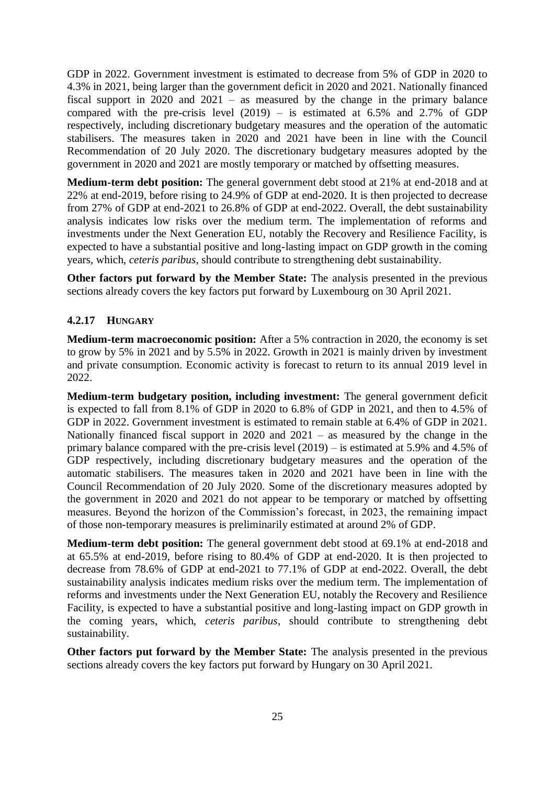GDP in 2022. Government investment is estimated to decrease from 5% of GDP in 2020 to 4.3% in 2021, being larger than the government deficit in 2020 and 2021. Nationally financed fiscal support in 2020 and 2021 – as measured by the change in the primary balance compared with the pre-crisis level  $(2019)$  – is estimated at 6.5% and 2.7% of GDP respectively, including discretionary budgetary measures and the operation of the automatic stabilisers. The measures taken in 2020 and 2021 have been in line with the Council Recommendation of 20 July 2020. The discretionary budgetary measures adopted by the government in 2020 and 2021 are mostly temporary or matched by offsetting measures.

**Medium-term debt position:** The general government debt stood at 21% at end-2018 and at 22% at end-2019, before rising to 24.9% of GDP at end-2020. It is then projected to decrease from 27% of GDP at end-2021 to 26.8% of GDP at end-2022. Overall, the debt sustainability analysis indicates low risks over the medium term. The implementation of reforms and investments under the Next Generation EU, notably the Recovery and Resilience Facility, is expected to have a substantial positive and long-lasting impact on GDP growth in the coming years, which, *ceteris paribus*, should contribute to strengthening debt sustainability.

**Other factors put forward by the Member State:** The analysis presented in the previous sections already covers the key factors put forward by Luxembourg on 30 April 2021.

### **4.2.17 HUNGARY**

**Medium-term macroeconomic position:** After a 5% contraction in 2020, the economy is set to grow by 5% in 2021 and by 5.5% in 2022. Growth in 2021 is mainly driven by investment and private consumption. Economic activity is forecast to return to its annual 2019 level in 2022.

**Medium-term budgetary position, including investment:** The general government deficit is expected to fall from 8.1% of GDP in 2020 to 6.8% of GDP in 2021, and then to 4.5% of GDP in 2022. Government investment is estimated to remain stable at 6.4% of GDP in 2021. Nationally financed fiscal support in 2020 and 2021 – as measured by the change in the primary balance compared with the pre-crisis level (2019) – is estimated at 5.9% and 4.5% of GDP respectively, including discretionary budgetary measures and the operation of the automatic stabilisers. The measures taken in 2020 and 2021 have been in line with the Council Recommendation of 20 July 2020. Some of the discretionary measures adopted by the government in 2020 and 2021 do not appear to be temporary or matched by offsetting measures. Beyond the horizon of the Commission's forecast, in 2023, the remaining impact of those non-temporary measures is preliminarily estimated at around 2% of GDP.

**Medium-term debt position:** The general government debt stood at 69.1% at end-2018 and at 65.5% at end-2019, before rising to 80.4% of GDP at end-2020. It is then projected to decrease from 78.6% of GDP at end-2021 to 77.1% of GDP at end-2022. Overall, the debt sustainability analysis indicates medium risks over the medium term. The implementation of reforms and investments under the Next Generation EU, notably the Recovery and Resilience Facility, is expected to have a substantial positive and long-lasting impact on GDP growth in the coming years, which, *ceteris paribus*, should contribute to strengthening debt sustainability.

**Other factors put forward by the Member State:** The analysis presented in the previous sections already covers the key factors put forward by Hungary on 30 April 2021.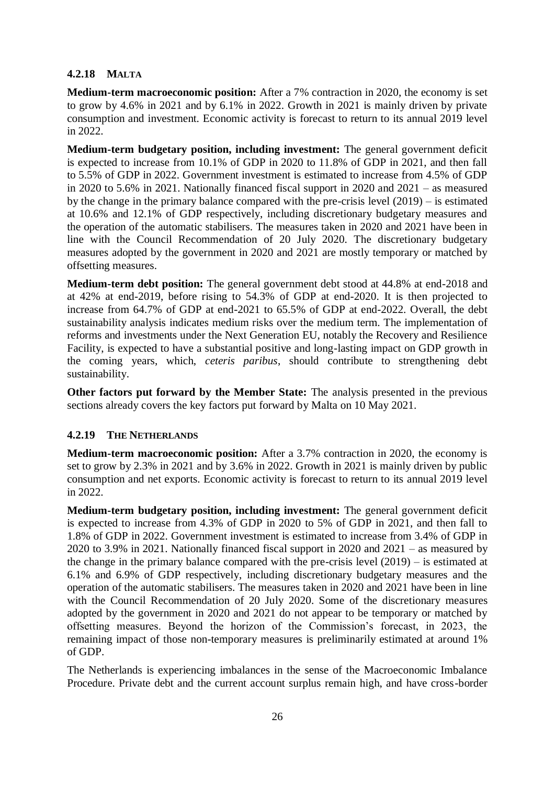## **4.2.18 MALTA**

**Medium-term macroeconomic position:** After a 7% contraction in 2020, the economy is set to grow by 4.6% in 2021 and by 6.1% in 2022. Growth in 2021 is mainly driven by private consumption and investment. Economic activity is forecast to return to its annual 2019 level in 2022.

**Medium-term budgetary position, including investment:** The general government deficit is expected to increase from 10.1% of GDP in 2020 to 11.8% of GDP in 2021, and then fall to 5.5% of GDP in 2022. Government investment is estimated to increase from 4.5% of GDP in 2020 to 5.6% in 2021. Nationally financed fiscal support in 2020 and 2021 – as measured by the change in the primary balance compared with the pre-crisis level (2019) – is estimated at 10.6% and 12.1% of GDP respectively, including discretionary budgetary measures and the operation of the automatic stabilisers. The measures taken in 2020 and 2021 have been in line with the Council Recommendation of 20 July 2020. The discretionary budgetary measures adopted by the government in 2020 and 2021 are mostly temporary or matched by offsetting measures.

**Medium-term debt position:** The general government debt stood at 44.8% at end-2018 and at 42% at end-2019, before rising to 54.3% of GDP at end-2020. It is then projected to increase from 64.7% of GDP at end-2021 to 65.5% of GDP at end-2022. Overall, the debt sustainability analysis indicates medium risks over the medium term. The implementation of reforms and investments under the Next Generation EU, notably the Recovery and Resilience Facility, is expected to have a substantial positive and long-lasting impact on GDP growth in the coming years, which, *ceteris paribus*, should contribute to strengthening debt sustainability.

**Other factors put forward by the Member State:** The analysis presented in the previous sections already covers the key factors put forward by Malta on 10 May 2021.

### **4.2.19 THE NETHERLANDS**

**Medium-term macroeconomic position:** After a 3.7% contraction in 2020, the economy is set to grow by 2.3% in 2021 and by 3.6% in 2022. Growth in 2021 is mainly driven by public consumption and net exports. Economic activity is forecast to return to its annual 2019 level in 2022.

**Medium-term budgetary position, including investment:** The general government deficit is expected to increase from 4.3% of GDP in 2020 to 5% of GDP in 2021, and then fall to 1.8% of GDP in 2022. Government investment is estimated to increase from 3.4% of GDP in 2020 to 3.9% in 2021. Nationally financed fiscal support in 2020 and 2021 – as measured by the change in the primary balance compared with the pre-crisis level (2019) – is estimated at 6.1% and 6.9% of GDP respectively, including discretionary budgetary measures and the operation of the automatic stabilisers. The measures taken in 2020 and 2021 have been in line with the Council Recommendation of 20 July 2020. Some of the discretionary measures adopted by the government in 2020 and 2021 do not appear to be temporary or matched by offsetting measures. Beyond the horizon of the Commission's forecast, in 2023, the remaining impact of those non-temporary measures is preliminarily estimated at around 1% of GDP.

The Netherlands is experiencing imbalances in the sense of the Macroeconomic Imbalance Procedure. Private debt and the current account surplus remain high, and have cross-border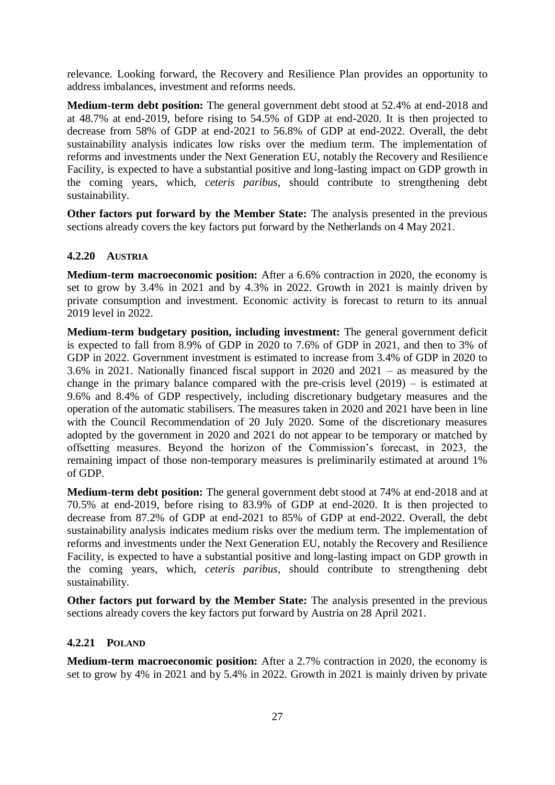relevance. Looking forward, the Recovery and Resilience Plan provides an opportunity to address imbalances, investment and reforms needs.

**Medium-term debt position:** The general government debt stood at 52.4% at end-2018 and at 48.7% at end-2019, before rising to 54.5% of GDP at end-2020. It is then projected to decrease from 58% of GDP at end-2021 to 56.8% of GDP at end-2022. Overall, the debt sustainability analysis indicates low risks over the medium term. The implementation of reforms and investments under the Next Generation EU, notably the Recovery and Resilience Facility, is expected to have a substantial positive and long-lasting impact on GDP growth in the coming years, which, *ceteris paribus*, should contribute to strengthening debt sustainability.

**Other factors put forward by the Member State:** The analysis presented in the previous sections already covers the key factors put forward by the Netherlands on 4 May 2021.

### **4.2.20 AUSTRIA**

**Medium-term macroeconomic position:** After a 6.6% contraction in 2020, the economy is set to grow by 3.4% in 2021 and by 4.3% in 2022. Growth in 2021 is mainly driven by private consumption and investment. Economic activity is forecast to return to its annual 2019 level in 2022.

**Medium-term budgetary position, including investment:** The general government deficit is expected to fall from 8.9% of GDP in 2020 to 7.6% of GDP in 2021, and then to 3% of GDP in 2022. Government investment is estimated to increase from 3.4% of GDP in 2020 to 3.6% in 2021. Nationally financed fiscal support in 2020 and 2021 – as measured by the change in the primary balance compared with the pre-crisis level (2019) – is estimated at 9.6% and 8.4% of GDP respectively, including discretionary budgetary measures and the operation of the automatic stabilisers. The measures taken in 2020 and 2021 have been in line with the Council Recommendation of 20 July 2020. Some of the discretionary measures adopted by the government in 2020 and 2021 do not appear to be temporary or matched by offsetting measures. Beyond the horizon of the Commission's forecast, in 2023, the remaining impact of those non-temporary measures is preliminarily estimated at around 1% of GDP.

**Medium-term debt position:** The general government debt stood at 74% at end-2018 and at 70.5% at end-2019, before rising to 83.9% of GDP at end-2020. It is then projected to decrease from 87.2% of GDP at end-2021 to 85% of GDP at end-2022. Overall, the debt sustainability analysis indicates medium risks over the medium term. The implementation of reforms and investments under the Next Generation EU, notably the Recovery and Resilience Facility, is expected to have a substantial positive and long-lasting impact on GDP growth in the coming years, which, *ceteris paribus*, should contribute to strengthening debt sustainability.

**Other factors put forward by the Member State:** The analysis presented in the previous sections already covers the key factors put forward by Austria on 28 April 2021.

### **4.2.21 POLAND**

**Medium-term macroeconomic position:** After a 2.7% contraction in 2020, the economy is set to grow by 4% in 2021 and by 5.4% in 2022. Growth in 2021 is mainly driven by private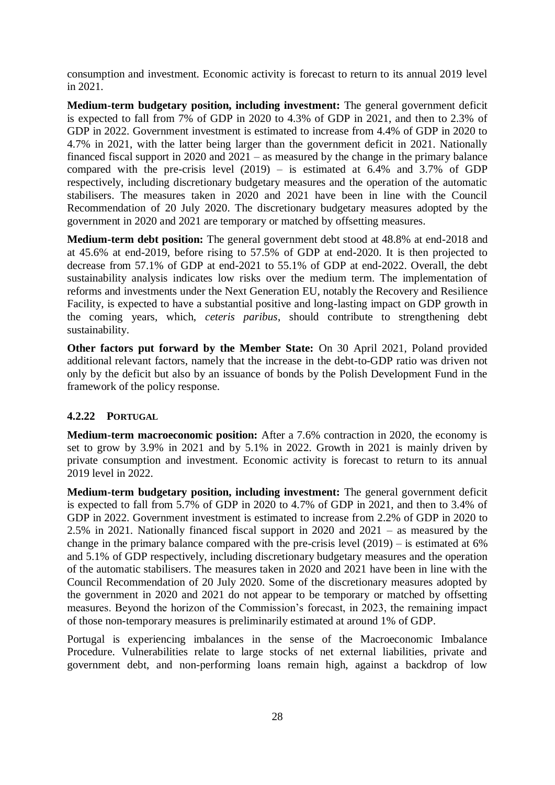consumption and investment. Economic activity is forecast to return to its annual 2019 level in 2021.

**Medium-term budgetary position, including investment:** The general government deficit is expected to fall from 7% of GDP in 2020 to 4.3% of GDP in 2021, and then to 2.3% of GDP in 2022. Government investment is estimated to increase from 4.4% of GDP in 2020 to 4.7% in 2021, with the latter being larger than the government deficit in 2021. Nationally financed fiscal support in 2020 and 2021 – as measured by the change in the primary balance compared with the pre-crisis level  $(2019)$  – is estimated at 6.4% and 3.7% of GDP respectively, including discretionary budgetary measures and the operation of the automatic stabilisers. The measures taken in 2020 and 2021 have been in line with the Council Recommendation of 20 July 2020. The discretionary budgetary measures adopted by the government in 2020 and 2021 are temporary or matched by offsetting measures.

**Medium-term debt position:** The general government debt stood at 48.8% at end-2018 and at 45.6% at end-2019, before rising to 57.5% of GDP at end-2020. It is then projected to decrease from 57.1% of GDP at end-2021 to 55.1% of GDP at end-2022. Overall, the debt sustainability analysis indicates low risks over the medium term. The implementation of reforms and investments under the Next Generation EU, notably the Recovery and Resilience Facility, is expected to have a substantial positive and long-lasting impact on GDP growth in the coming years, which, *ceteris paribus*, should contribute to strengthening debt sustainability.

**Other factors put forward by the Member State:** On 30 April 2021, Poland provided additional relevant factors, namely that the increase in the debt-to-GDP ratio was driven not only by the deficit but also by an issuance of bonds by the Polish Development Fund in the framework of the policy response.

### **4.2.22 PORTUGAL**

**Medium-term macroeconomic position:** After a 7.6% contraction in 2020, the economy is set to grow by 3.9% in 2021 and by 5.1% in 2022. Growth in 2021 is mainly driven by private consumption and investment. Economic activity is forecast to return to its annual 2019 level in 2022.

**Medium-term budgetary position, including investment:** The general government deficit is expected to fall from 5.7% of GDP in 2020 to 4.7% of GDP in 2021, and then to 3.4% of GDP in 2022. Government investment is estimated to increase from 2.2% of GDP in 2020 to 2.5% in 2021. Nationally financed fiscal support in 2020 and 2021 – as measured by the change in the primary balance compared with the pre-crisis level  $(2019)$  – is estimated at 6% and 5.1% of GDP respectively, including discretionary budgetary measures and the operation of the automatic stabilisers. The measures taken in 2020 and 2021 have been in line with the Council Recommendation of 20 July 2020. Some of the discretionary measures adopted by the government in 2020 and 2021 do not appear to be temporary or matched by offsetting measures. Beyond the horizon of the Commission's forecast, in 2023, the remaining impact of those non-temporary measures is preliminarily estimated at around 1% of GDP.

Portugal is experiencing imbalances in the sense of the Macroeconomic Imbalance Procedure. Vulnerabilities relate to large stocks of net external liabilities, private and government debt, and non-performing loans remain high, against a backdrop of low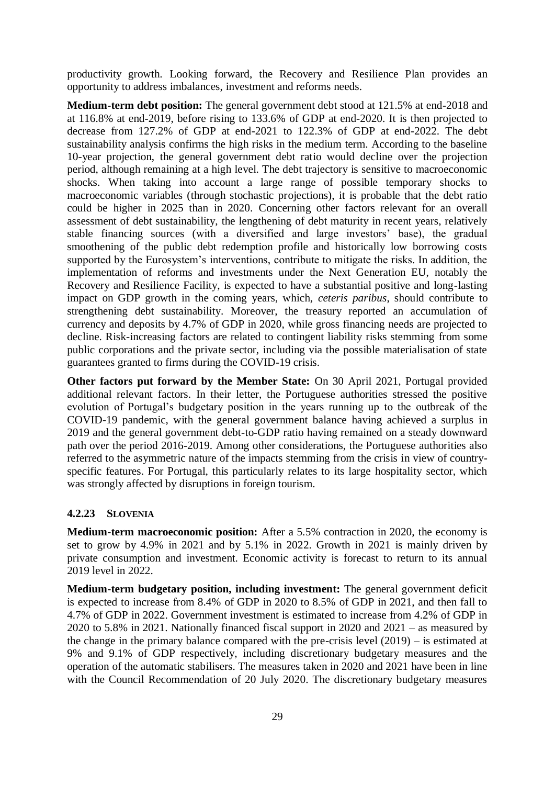productivity growth. Looking forward, the Recovery and Resilience Plan provides an opportunity to address imbalances, investment and reforms needs.

**Medium-term debt position:** The general government debt stood at 121.5% at end-2018 and at 116.8% at end-2019, before rising to 133.6% of GDP at end-2020. It is then projected to decrease from 127.2% of GDP at end-2021 to 122.3% of GDP at end-2022. The debt sustainability analysis confirms the high risks in the medium term. According to the baseline 10-year projection, the general government debt ratio would decline over the projection period, although remaining at a high level. The debt trajectory is sensitive to macroeconomic shocks. When taking into account a large range of possible temporary shocks to macroeconomic variables (through stochastic projections), it is probable that the debt ratio could be higher in 2025 than in 2020. Concerning other factors relevant for an overall assessment of debt sustainability, the lengthening of debt maturity in recent years, relatively stable financing sources (with a diversified and large investors' base), the gradual smoothening of the public debt redemption profile and historically low borrowing costs supported by the Eurosystem's interventions, contribute to mitigate the risks. In addition, the implementation of reforms and investments under the Next Generation EU, notably the Recovery and Resilience Facility, is expected to have a substantial positive and long-lasting impact on GDP growth in the coming years, which, *ceteris paribus*, should contribute to strengthening debt sustainability. Moreover, the treasury reported an accumulation of currency and deposits by 4.7% of GDP in 2020, while gross financing needs are projected to decline. Risk-increasing factors are related to contingent liability risks stemming from some public corporations and the private sector, including via the possible materialisation of state guarantees granted to firms during the COVID-19 crisis.

**Other factors put forward by the Member State:** On 30 April 2021, Portugal provided additional relevant factors. In their letter, the Portuguese authorities stressed the positive evolution of Portugal's budgetary position in the years running up to the outbreak of the COVID-19 pandemic, with the general government balance having achieved a surplus in 2019 and the general government debt-to-GDP ratio having remained on a steady downward path over the period 2016-2019. Among other considerations, the Portuguese authorities also referred to the asymmetric nature of the impacts stemming from the crisis in view of countryspecific features. For Portugal, this particularly relates to its large hospitality sector, which was strongly affected by disruptions in foreign tourism.

### **4.2.23 SLOVENIA**

**Medium-term macroeconomic position:** After a 5.5% contraction in 2020, the economy is set to grow by 4.9% in 2021 and by 5.1% in 2022. Growth in 2021 is mainly driven by private consumption and investment. Economic activity is forecast to return to its annual 2019 level in 2022.

**Medium-term budgetary position, including investment:** The general government deficit is expected to increase from 8.4% of GDP in 2020 to 8.5% of GDP in 2021, and then fall to 4.7% of GDP in 2022. Government investment is estimated to increase from 4.2% of GDP in 2020 to 5.8% in 2021. Nationally financed fiscal support in 2020 and 2021 – as measured by the change in the primary balance compared with the pre-crisis level (2019) – is estimated at 9% and 9.1% of GDP respectively, including discretionary budgetary measures and the operation of the automatic stabilisers. The measures taken in 2020 and 2021 have been in line with the Council Recommendation of 20 July 2020. The discretionary budgetary measures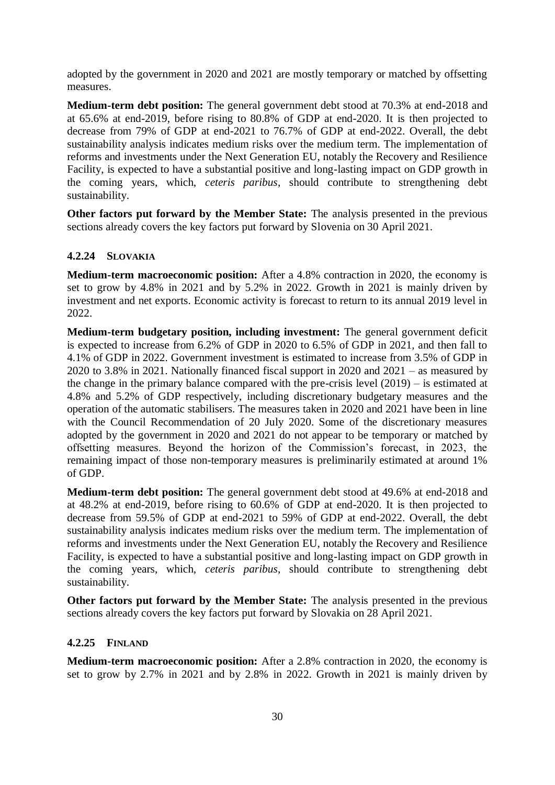adopted by the government in 2020 and 2021 are mostly temporary or matched by offsetting measures.

**Medium-term debt position:** The general government debt stood at 70.3% at end-2018 and at 65.6% at end-2019, before rising to 80.8% of GDP at end-2020. It is then projected to decrease from 79% of GDP at end-2021 to 76.7% of GDP at end-2022. Overall, the debt sustainability analysis indicates medium risks over the medium term. The implementation of reforms and investments under the Next Generation EU, notably the Recovery and Resilience Facility, is expected to have a substantial positive and long-lasting impact on GDP growth in the coming years, which, *ceteris paribus*, should contribute to strengthening debt sustainability.

**Other factors put forward by the Member State:** The analysis presented in the previous sections already covers the key factors put forward by Slovenia on 30 April 2021.

### **4.2.24 SLOVAKIA**

**Medium-term macroeconomic position:** After a 4.8% contraction in 2020, the economy is set to grow by 4.8% in 2021 and by 5.2% in 2022. Growth in 2021 is mainly driven by investment and net exports. Economic activity is forecast to return to its annual 2019 level in 2022.

**Medium-term budgetary position, including investment:** The general government deficit is expected to increase from 6.2% of GDP in 2020 to 6.5% of GDP in 2021, and then fall to 4.1% of GDP in 2022. Government investment is estimated to increase from 3.5% of GDP in 2020 to 3.8% in 2021. Nationally financed fiscal support in 2020 and 2021 – as measured by the change in the primary balance compared with the pre-crisis level (2019) – is estimated at 4.8% and 5.2% of GDP respectively, including discretionary budgetary measures and the operation of the automatic stabilisers. The measures taken in 2020 and 2021 have been in line with the Council Recommendation of 20 July 2020. Some of the discretionary measures adopted by the government in 2020 and 2021 do not appear to be temporary or matched by offsetting measures. Beyond the horizon of the Commission's forecast, in 2023, the remaining impact of those non-temporary measures is preliminarily estimated at around 1% of GDP.

**Medium-term debt position:** The general government debt stood at 49.6% at end-2018 and at 48.2% at end-2019, before rising to 60.6% of GDP at end-2020. It is then projected to decrease from 59.5% of GDP at end-2021 to 59% of GDP at end-2022. Overall, the debt sustainability analysis indicates medium risks over the medium term. The implementation of reforms and investments under the Next Generation EU, notably the Recovery and Resilience Facility, is expected to have a substantial positive and long-lasting impact on GDP growth in the coming years, which, *ceteris paribus*, should contribute to strengthening debt sustainability.

**Other factors put forward by the Member State:** The analysis presented in the previous sections already covers the key factors put forward by Slovakia on 28 April 2021.

### **4.2.25 FINLAND**

**Medium-term macroeconomic position:** After a 2.8% contraction in 2020, the economy is set to grow by 2.7% in 2021 and by 2.8% in 2022. Growth in 2021 is mainly driven by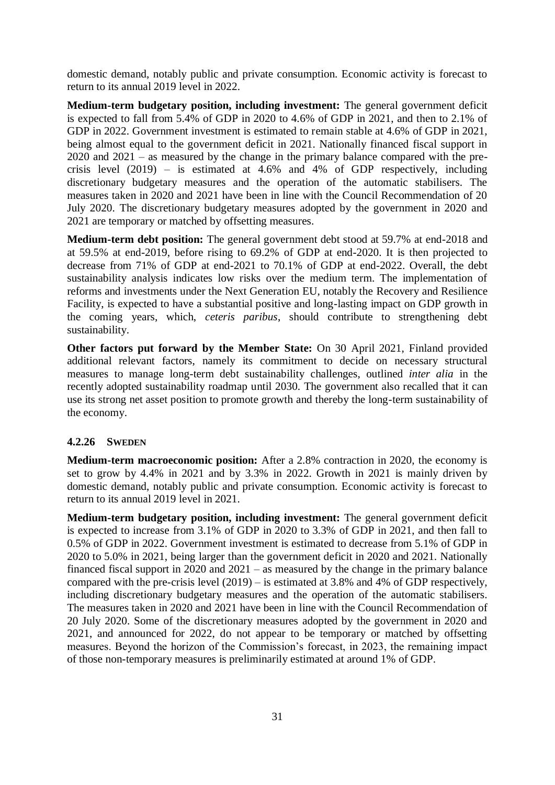domestic demand, notably public and private consumption. Economic activity is forecast to return to its annual 2019 level in 2022.

**Medium-term budgetary position, including investment:** The general government deficit is expected to fall from 5.4% of GDP in 2020 to 4.6% of GDP in 2021, and then to 2.1% of GDP in 2022. Government investment is estimated to remain stable at 4.6% of GDP in 2021, being almost equal to the government deficit in 2021. Nationally financed fiscal support in 2020 and 2021 – as measured by the change in the primary balance compared with the precrisis level  $(2019)$  – is estimated at 4.6% and 4% of GDP respectively, including discretionary budgetary measures and the operation of the automatic stabilisers. The measures taken in 2020 and 2021 have been in line with the Council Recommendation of 20 July 2020. The discretionary budgetary measures adopted by the government in 2020 and 2021 are temporary or matched by offsetting measures.

**Medium-term debt position:** The general government debt stood at 59.7% at end-2018 and at 59.5% at end-2019, before rising to 69.2% of GDP at end-2020. It is then projected to decrease from 71% of GDP at end-2021 to 70.1% of GDP at end-2022. Overall, the debt sustainability analysis indicates low risks over the medium term. The implementation of reforms and investments under the Next Generation EU, notably the Recovery and Resilience Facility, is expected to have a substantial positive and long-lasting impact on GDP growth in the coming years, which, *ceteris paribus*, should contribute to strengthening debt sustainability.

**Other factors put forward by the Member State:** On 30 April 2021, Finland provided additional relevant factors, namely its commitment to decide on necessary structural measures to manage long-term debt sustainability challenges, outlined *inter alia* in the recently adopted sustainability roadmap until 2030. The government also recalled that it can use its strong net asset position to promote growth and thereby the long-term sustainability of the economy.

#### **4.2.26 SWEDEN**

**Medium-term macroeconomic position:** After a 2.8% contraction in 2020, the economy is set to grow by 4.4% in 2021 and by 3.3% in 2022. Growth in 2021 is mainly driven by domestic demand, notably public and private consumption. Economic activity is forecast to return to its annual 2019 level in 2021.

**Medium-term budgetary position, including investment:** The general government deficit is expected to increase from 3.1% of GDP in 2020 to 3.3% of GDP in 2021, and then fall to 0.5% of GDP in 2022. Government investment is estimated to decrease from 5.1% of GDP in 2020 to 5.0% in 2021, being larger than the government deficit in 2020 and 2021. Nationally financed fiscal support in 2020 and 2021 – as measured by the change in the primary balance compared with the pre-crisis level (2019) – is estimated at 3.8% and 4% of GDP respectively, including discretionary budgetary measures and the operation of the automatic stabilisers. The measures taken in 2020 and 2021 have been in line with the Council Recommendation of 20 July 2020. Some of the discretionary measures adopted by the government in 2020 and 2021, and announced for 2022, do not appear to be temporary or matched by offsetting measures. Beyond the horizon of the Commission's forecast, in 2023, the remaining impact of those non-temporary measures is preliminarily estimated at around 1% of GDP.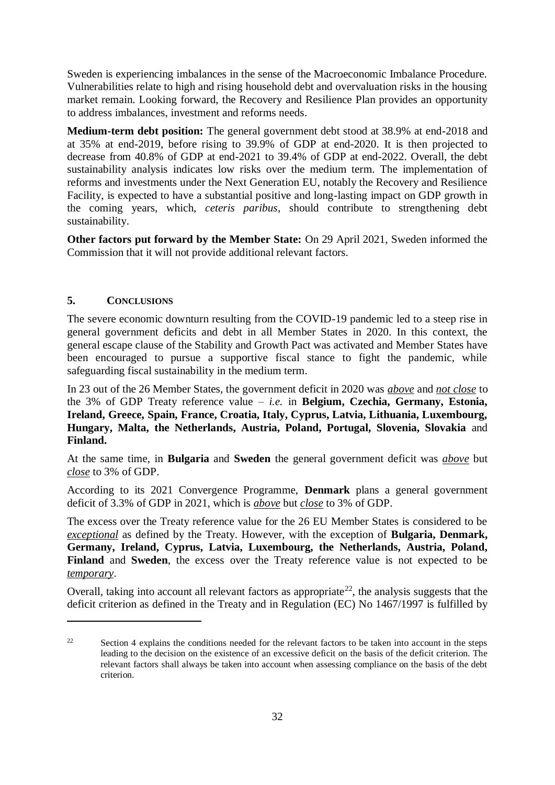Sweden is experiencing imbalances in the sense of the Macroeconomic Imbalance Procedure. Vulnerabilities relate to high and rising household debt and overvaluation risks in the housing market remain. Looking forward, the Recovery and Resilience Plan provides an opportunity to address imbalances, investment and reforms needs.

**Medium-term debt position:** The general government debt stood at 38.9% at end-2018 and at 35% at end-2019, before rising to 39.9% of GDP at end-2020. It is then projected to decrease from 40.8% of GDP at end-2021 to 39.4% of GDP at end-2022. Overall, the debt sustainability analysis indicates low risks over the medium term. The implementation of reforms and investments under the Next Generation EU, notably the Recovery and Resilience Facility, is expected to have a substantial positive and long-lasting impact on GDP growth in the coming years, which, *ceteris paribus*, should contribute to strengthening debt sustainability.

**Other factors put forward by the Member State:** On 29 April 2021, Sweden informed the Commission that it will not provide additional relevant factors.

### **5. CONCLUSIONS**

1

The severe economic downturn resulting from the COVID-19 pandemic led to a steep rise in general government deficits and debt in all Member States in 2020. In this context, the general escape clause of the Stability and Growth Pact was activated and Member States have been encouraged to pursue a supportive fiscal stance to fight the pandemic, while safeguarding fiscal sustainability in the medium term.

In 23 out of the 26 Member States, the government deficit in 2020 was *above* and *not close* to the 3% of GDP Treaty reference value – *i.e.* in **Belgium, Czechia, Germany, Estonia, Ireland, Greece, Spain, France, Croatia, Italy, Cyprus, Latvia, Lithuania, Luxembourg, Hungary, Malta, the Netherlands, Austria, Poland, Portugal, Slovenia, Slovakia** and **Finland.**

At the same time, in **Bulgaria** and **Sweden** the general government deficit was *above* but *close* to 3% of GDP.

According to its 2021 Convergence Programme, **Denmark** plans a general government deficit of 3.3% of GDP in 2021, which is *above* but *close* to 3% of GDP.

The excess over the Treaty reference value for the 26 EU Member States is considered to be *exceptional* as defined by the Treaty. However, with the exception of **Bulgaria, Denmark, Germany, Ireland, Cyprus, Latvia, Luxembourg, the Netherlands, Austria, Poland, Finland** and **Sweden**, the excess over the Treaty reference value is not expected to be *temporary*.

Overall, taking into account all relevant factors as appropriate<sup>22</sup>, the analysis suggests that the deficit criterion as defined in the Treaty and in Regulation (EC) No 1467/1997 is fulfilled by

<sup>&</sup>lt;sup>22</sup> Section 4 explains the conditions needed for the relevant factors to be taken into account in the steps leading to the decision on the existence of an excessive deficit on the basis of the deficit criterion. The relevant factors shall always be taken into account when assessing compliance on the basis of the debt criterion.